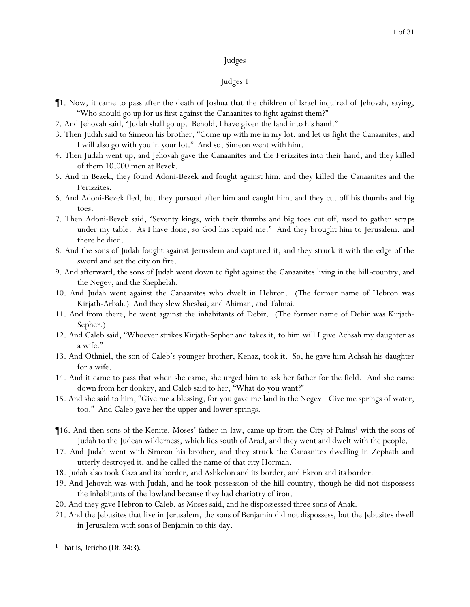- ¶1. Now, it came to pass after the death of Joshua that the children of Israel inquired of Jehovah, saying, "Who should go up for us first against the Canaanites to fight against them?"
- 2. And Jehovah said, "Judah shall go up. Behold, I have given the land into his hand."
- 3. Then Judah said to Simeon his brother, "Come up with me in my lot, and let us fight the Canaanites, and I will also go with you in your lot." And so, Simeon went with him.
- 4. Then Judah went up, and Jehovah gave the Canaanites and the Perizzites into their hand, and they killed of them 10,000 men at Bezek.
- 5. And in Bezek, they found Adoni-Bezek and fought against him, and they killed the Canaanites and the Perizzites.
- 6. And Adoni-Bezek fled, but they pursued after him and caught him, and they cut off his thumbs and big toes.
- 7. Then Adoni-Bezek said, "Seventy kings, with their thumbs and big toes cut off, used to gather *scraps* under my table. As I have done, so God has repaid me." And they brought him to Jerusalem, and there he died.
- 8. And the sons of Judah fought against Jerusalem and captured it, and they struck it with the edge of the sword and set the city on fire.
- 9. And afterward, the sons of Judah went down to fight against the Canaanites living in the hill-country, and the Negev, and the Shephelah.
- 10. And Judah went against the Canaanites who dwelt in Hebron. (The former name of Hebron was Kirjath-Arbah.) And they slew Sheshai, and Ahiman, and Talmai.
- 11. And from there, he went against the inhabitants of Debir. (The former name of Debir was Kirjath-Sepher.)
- 12. And Caleb said, "Whoever strikes Kirjath-Sepher and takes it, to him will I give Achsah my daughter as a wife."
- 13. And Othniel, the son of Caleb's younger brother, Kenaz, took it. So, he gave him Achsah his daughter for a wife.
- 14. And it came to pass that when she came, she urged him to ask her father for the field. And she came down from her donkey, and Caleb said to her, "What do you want?"
- 15. And she said to him, "Give me a blessing, for you gave me land in the Negev. Give me springs of water, too." And Caleb gave her the upper and lower springs.
- $\P$ 16. And then sons of the Kenite, Moses' father-in-law, came up from the City of Palms<sup>1</sup> with the sons of Judah to the Judean wilderness, which lies south of Arad, and they went and dwelt with the people.
- 17. And Judah went with Simeon his brother, and they struck the Canaanites dwelling in Zephath and utterly destroyed it, and he called the name of that city Hormah.
- 18. Judah also took Gaza and its border, and Ashkelon and its border, and Ekron and its border.
- 19. And Jehovah was with Judah, and he took possession of the hill-country, though he did not dispossess the inhabitants of the lowland because they had chariotry of iron.
- 20. And they gave Hebron to Caleb, as Moses said, and he dispossessed three sons of Anak.
- 21. And the Jebusites that live in Jerusalem, the sons of Benjamin did not dispossess, but the Jebusites dwell in Jerusalem with sons of Benjamin to this day.

<sup>&</sup>lt;sup>1</sup> That is, Jericho (Dt. 34:3).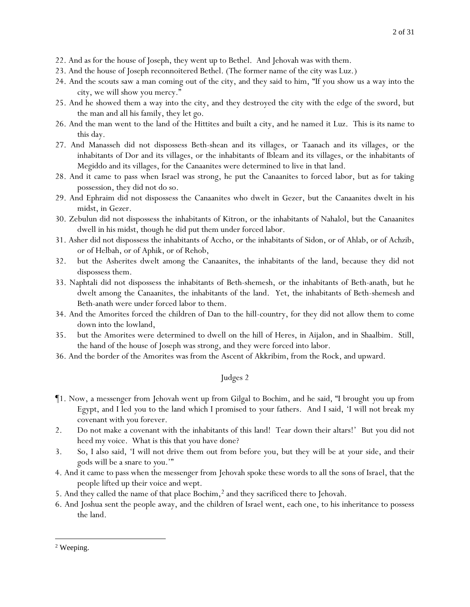- 22. And as for the house of Joseph, they went up to Bethel. And Jehovah was with them.
- 23. And the house of Joseph reconnoitered Bethel. (The former name of the city was Luz.)
- 24. And the scouts saw a man coming out of the city, and they said to him, "If you show us a way into the city, we will show you mercy."
- 25. And he showed them a way into the city, and they destroyed the city with the edge of the sword, but the man and all his family, they let go.
- 26. And the man went to the land of the Hittites and built a city, and he named it Luz. This is its name to this day.
- 27. And Manasseh did not dispossess Beth-shean and its villages, or Taanach and its villages, or the inhabitants of Dor and its villages, or the inhabitants of Ibleam and its villages, or the inhabitants of Megiddo and its villages, for the Canaanites were determined to live in that land.
- 28. And it came to pass when Israel was strong, he put the Canaanites to forced labor, but as for taking possession, they did not do so.
- 29. And Ephraim did not dispossess the Canaanites who dwelt in Gezer, but the Canaanites dwelt in his midst, in Gezer.
- 30. Zebulun did not dispossess the inhabitants of Kitron, or the inhabitants of Nahalol, but the Canaanites dwell in his midst, though he did put them under forced labor.
- 31. Asher did not dispossess the inhabitants of Accho, or the inhabitants of Sidon, or of Ahlab, or of Achzib, or of Helbah, or of Aphik, or of Rehob,
- 32. but the Asherites dwelt among the Canaanites, the inhabitants of the land, because they did not dispossess them.
- 33. Naphtali did not dispossess the inhabitants of Beth-shemesh, or the inhabitants of Beth-anath, but he dwelt among the Canaanites, the inhabitants of the land. Yet, the inhabitants of Beth-shemesh and Beth-anath were under forced labor to them.
- 34. And the Amorites forced the children of Dan to the hill-country, for they did not allow them to come down into the lowland,
- 35. but the Amorites were determined to dwell on the hill of Heres, in Aijalon, and in Shaalbim. Still, the hand of the house of Joseph was strong, and they were forced into labor.
- 36. And the border of the Amorites was from the Ascent of Akkribim, from the Rock, and upward.

- ¶1. Now, a messenger from Jehovah went up from Gilgal to Bochim, and he said, "I brought *y*ou up from Egypt, and I led *y*ou to the land which I promised to *y*our fathers. And I said, 'I will not break my covenant with *y*ou forever.
- 2. Do not make a covenant with the inhabitants of this land! Tear down their altars!' But *y*ou did not heed my voice. What is this that *y*ou have done?
- 3. So, I also said, 'I will not drive them out from before *y*ou, but they will be at *y*our side, and their gods will be a snare to *y*ou.'"
- 4. And it came to pass when the messenger from Jehovah spoke these words to all the sons of Israel, that the people lifted up their voice and wept.
- 5. And they called the name of that place Bochim,<sup>2</sup> and they sacrificed there to Jehovah.
- 6. And Joshua sent the people away, and the children of Israel went, each one, to his inheritance to possess the land.

<sup>2</sup> Weeping.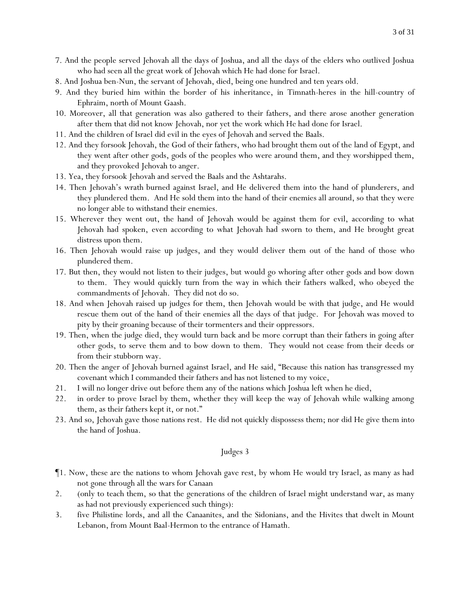- 7. And the people served Jehovah all the days of Joshua, and all the days of the elders who outlived Joshua who had seen all the great work of Jehovah which He had done for Israel.
- 8. And Joshua ben-Nun, the servant of Jehovah, died, being one hundred and ten years old.
- 9. And they buried him within the border of his inheritance, in Timnath-heres in the hill-country of Ephraim, north of Mount Gaash.
- 10. Moreover, all that generation was also gathered to their fathers, and there arose another generation after them that did not know Jehovah, nor yet the work which He had done for Israel.
- 11. And the children of Israel did evil in the eyes of Jehovah and served the Baals.
- 12. And they forsook Jehovah, the God of their fathers, who had brought them out of the land of Egypt, and they went after other gods, gods of the peoples who were around them, and they worshipped them, and they provoked Jehovah to anger.
- 13. Yea, they forsook Jehovah and served the Baals and the Ashtarahs.
- 14. Then Jehovah's wrath burned against Israel, and He delivered them into the hand of plunderers, and they plundered them. And He sold them into the hand of their enemies all around, so that they were no longer able to withstand their enemies.
- 15. Wherever they went out, the hand of Jehovah would be against them for evil, according to what Jehovah had spoken, even according to what Jehovah had sworn to them, and He brought great distress upon them.
- 16. Then Jehovah would raise up judges, and they would deliver them out of the hand of those who plundered them.
- 17. But then, they would not listen to their judges, but would go whoring after other gods and bow down to them. They would quickly turn from the way in which their fathers walked, who obeyed the commandments of Jehovah. They did not do so.
- 18. And when Jehovah raised up judges for them, then Jehovah would be with that judge, and He would rescue them out of the hand of their enemies all the days of that judge. For Jehovah was moved to pity by their groaning because of their tormenters and their oppressors.
- 19. Then, when the judge died, they would turn back and be more corrupt than their fathers in going after other gods, to serve them and to bow down to them. They would not cease from their deeds or from their stubborn way.
- 20. Then the anger of Jehovah burned against Israel, and He said, "Because this nation has transgressed my covenant which I commanded their fathers and has not listened to my voice,
- 21. I will no longer drive out before them any of the nations which Joshua left when he died,
- 22. in order to prove Israel by them, whether they will keep the way of Jehovah while walking among them, as their fathers kept it, or not."
- 23. And so, Jehovah gave those nations rest. He did not quickly dispossess them; nor did He give them into the hand of Joshua.

- ¶1. Now, these are the nations to whom Jehovah gave rest, by whom He would try Israel, as many as had not gone through all the wars for Canaan
- 2. (only to teach them, so that the generations of the children of Israel might understand war, as many as had not previously experienced such things):
- 3. five Philistine lords, and all the Canaanites, and the Sidonians, and the Hivites that dwelt in Mount Lebanon, from Mount Baal-Hermon to the entrance of Hamath.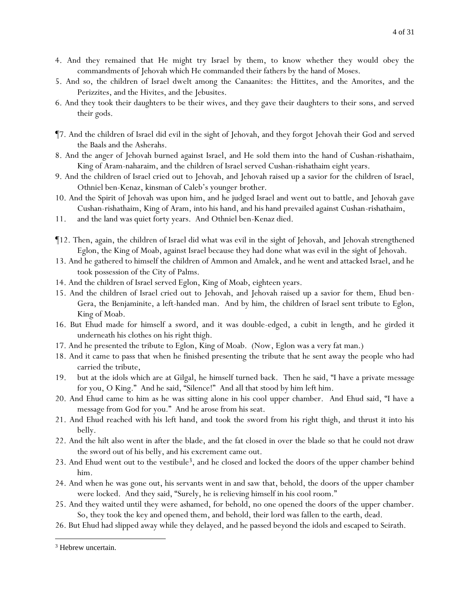- 4. And they remained that He might try Israel by them, to know whether they would obey the commandments of Jehovah which He commanded their fathers by the hand of Moses.
- 5. And so, the children of Israel dwelt among the Canaanites: the Hittites, and the Amorites, and the Perizzites, and the Hivites, and the Jebusites.
- 6. And they took their daughters to be their wives, and they gave their daughters to their sons, and served their gods.
- ¶7. And the children of Israel did evil in the sight of Jehovah, and they forgot Jehovah their God and served the Baals and the Asherahs.
- 8. And the anger of Jehovah burned against Israel, and He sold them into the hand of Cushan-rishathaim, King of Aram-naharaim, and the children of Israel served Cushan-rishathaim eight years.
- 9. And the children of Israel cried out to Jehovah, and Jehovah raised up a savior for the children of Israel, Othniel ben-Kenaz, kinsman of Caleb's younger *brother*.
- 10. And the Spirit of Jehovah was upon him, and he judged Israel and went out to battle, and Jehovah gave Cushan-rishathaim, King of Aram, into his hand, and his hand prevailed against Cushan-rishathaim,
- 11. and the land was quiet forty years. And Othniel ben-Kenaz died.
- ¶12. Then, again, the children of Israel did what was evil in the sight of Jehovah, and Jehovah strengthened Eglon, the King of Moab, against Israel because they had done what was evil in the sight of Jehovah.
- 13. And he gathered to himself the children of Ammon and Amalek, and he went and attacked Israel, and he took possession of the City of Palms.
- 14. And the children of Israel served Eglon, King of Moab, eighteen years.
- 15. And the children of Israel cried out to Jehovah, and Jehovah raised up a savior for them, Ehud ben-Gera, the Benjaminite, a left-handed man. And by him, the children of Israel sent tribute to Eglon, King of Moab.
- 16. But Ehud made for himself a sword, and it was double-edged, a cubit in length, and he girded it underneath his clothes on his right thigh.
- 17. And he presented the tribute to Eglon, King of Moab. (Now, Eglon was a very fat man.)
- 18. And it came to pass that when he finished presenting the tribute that he sent away the people who had carried the tribute,
- 19. but at the idols which are at Gilgal, he himself turned back. Then he said, "I have a private message for you, O King." And he said, "Silence!" And all that stood by him left him.
- 20. And Ehud came to him as he was sitting alone in his cool upper chamber. And Ehud said, "I have a message from God for you." And he arose from his seat.
- 21. And Ehud reached with his left hand, and took the sword from his right thigh, and thrust it into his belly.
- 22. And the hilt also went in after the blade, and the fat closed in over the blade so that he could not draw the sword out of his belly, and his excrement came out.
- 23. And Ehud went out to the vestibule3, and he closed and locked the doors of the upper chamber behind him.
- 24. And when he was gone out, his servants went in and saw that, behold, the doors of the upper chamber were locked. And they said, "Surely, he is relieving himself in his cool room."
- 25. And they waited until they were ashamed, for behold, no one opened the doors of the upper chamber. So, they took the key and opened them, and behold, their lord was fallen to the earth, dead.
- 26. But Ehud had slipped away while they delayed, and he passed beyond the idols and escaped to Seirath.

<sup>&</sup>lt;sup>3</sup> Hebrew uncertain.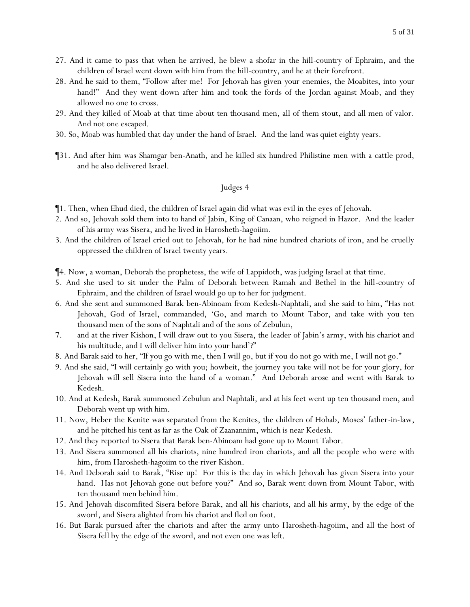- 27. And it came to pass that when he arrived, he blew a shofar in the hill-country of Ephraim, and the children of Israel went down with him from the hill-country, and he at their forefront.
- 28. And he said to them, "Follow after me! For Jehovah has given *y*our enemies, the Moabites, into *y*our hand!" And they went down after him and took the fords of the Jordan against Moab, and they allowed no one to cross.
- 29. And they killed of Moab at that time about ten thousand men, all of them stout, and all men of valor. And not one escaped.
- 30. So, Moab was humbled that day under the hand of Israel. And the land was quiet eighty years.
- ¶31. And after him was Shamgar ben-Anath, and he killed six hundred Philistine men with a cattle prod, and he also delivered Israel.

- ¶1. Then, when Ehud died, the children of Israel again did what was evil in the eyes of Jehovah.
- 2. And so, Jehovah sold them into to hand of Jabin, King of Canaan, who reigned in Hazor. And the leader of his army was Sisera, and he lived in Harosheth-hagoiim.
- 3. And the children of Israel cried out to Jehovah, for he had nine hundred chariots of iron, and he cruelly oppressed the children of Israel twenty years.
- ¶4. Now, a woman, Deborah the prophetess, the wife of Lappidoth, was judging Israel at that time.
- 5. And she used to sit under the Palm of Deborah between Ramah and Bethel in the hill-country of Ephraim, and the children of Israel would go up to her for judgment.
- 6. And she sent and summoned Barak ben-Abinoam from Kedesh-Naphtali, and she said to him, "Has not Jehovah, God of Israel, commanded, 'Go, and march to Mount Tabor, and take with you ten thousand men of the sons of Naphtali and of the sons of Zebulun,
- 7. and at the river Kishon, I will draw out to you Sisera, the leader of Jabin's army, with his chariot and his multitude, and I will deliver him into your hand'?"
- 8. And Barak said to her, "If you go with me, then I will go, but if you do not go with me, I will not go."
- 9. And she said, "I will certainly go with you; howbeit, the journey you take will not be for your glory, for Jehovah will sell Sisera into the hand of a woman." And Deborah arose and went with Barak to Kedesh.
- 10. And at Kedesh, Barak summoned Zebulun and Naphtali, and at his feet went up ten thousand men, and Deborah went up with him.
- 11. Now, Heber the Kenite was separated from the Kenites, the children of Hobab, Moses' father-in-law, and he pitched his tent as far as the Oak of Zaanannim, which is near Kedesh.
- 12. And they reported to Sisera that Barak ben-Abinoam had gone up to Mount Tabor.
- 13. And Sisera summoned all his chariots, nine hundred iron chariots, and all the people who were with him, from Harosheth-hagoiim to the river Kishon.
- 14. And Deborah said to Barak, "Rise up! For this is the day in which Jehovah has given Sisera into your hand. Has not Jehovah gone out before you?" And so, Barak went down from Mount Tabor, with ten thousand men behind him.
- 15. And Jehovah discomfited Sisera before Barak, and all his chariots, and all his army, by the edge of the sword, and Sisera alighted from his chariot and fled on foot.
- 16. But Barak pursued after the chariots and after the army unto Harosheth-hagoiim, and all the host of Sisera fell by the edge of the sword, and not even one was left.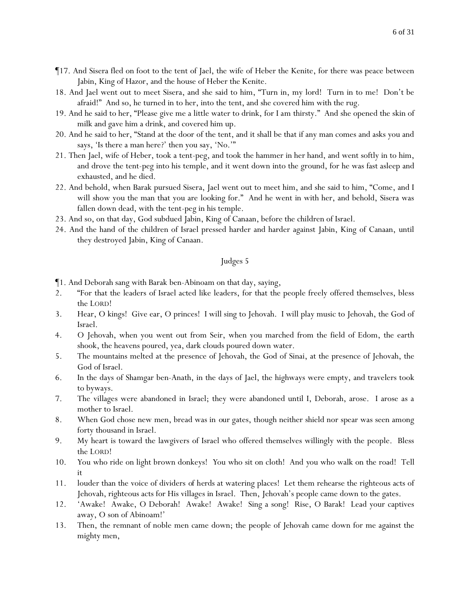- ¶17. And Sisera fled on foot to the tent of Jael, the wife of Heber the Kenite, for there was peace between Jabin, King of Hazor, and the house of Heber the Kenite.
- 18. And Jael went out to meet Sisera, and she said to him, "Turn in, my lord! Turn in to me! Don't be afraid!" And so, he turned in to her, into the tent, and she covered him with the rug.
- 19. And he said to her, "Please give me a little water to drink, for I am thirsty." And she opened the skin of milk and gave him a drink, and covered him up.
- 20. And he said to her, "Stand at the door of the tent, and it shall be that if any man comes and asks you and says, 'Is there a man here?' then you say, 'No.'"
- 21. Then Jael, wife of Heber, took a tent-peg, and took the hammer in her hand, and went softly in to him, and drove the tent-peg into his temple, and it went down into the ground, for he was fast asleep and exhausted, and he died.
- 22. And behold, when Barak pursued Sisera, Jael went out to meet him, and she said to him, "Come, and I will show you the man that you are looking for." And he went in with her, and behold, Sisera was fallen down dead, with the tent-peg in his temple.
- 23. And so, on that day, God subdued Jabin, King of Canaan, before the children of Israel.
- 24. And the hand of the children of Israel pressed harder and harder against Jabin, King of Canaan, until they destroyed Jabin, King of Canaan.

- ¶1. And Deborah sang with Barak ben-Abinoam on that day, saying,
- 2. "For that the leaders of Israel acted like leaders, for that the people freely offered themselves, bless the LORD!
- 3. Hear, O kings! Give ear, O princes! I will sing to Jehovah. I will play music to Jehovah, the God of Israel.
- 4. O Jehovah, when you went out from Seir, when you marched from the field of Edom, the earth shook, the heavens poured, yea, dark clouds poured down water.
- 5. The mountains melted at the presence of Jehovah, the *God* of Sinai, at the presence of Jehovah, the God of Israel.
- 6. In the days of Shamgar ben-Anath, in the days of Jael, the highways were empty, and travelers took to byways.
- 7. The villages were abandoned in Israel; they were abandoned until I, Deborah, arose. I arose as a mother to Israel.
- 8. When God chose new men, bread was in *our* gates, though neither shield nor spear was seen among forty thousand in Israel.
- 9. My heart is toward the lawgivers of Israel who offered themselves willingly with the people. Bless the LORD!
- 10. *Y*ou who ride on light brown donkeys! *Y*ou who sit on cloth! And *y*ou who walk on the road! Tell it
- 11. louder than the voice of dividers *of herds* at watering places! Let them rehearse the righteous acts of Jehovah, righteous acts for His villages in Israel. Then, Jehovah's people came down to the gates.
- 12. 'Awake! Awake, O Deborah! Awake! Awake! Sing a song! Rise, O Barak! Lead your captives away, O son of Abinoam!'
- 13. Then, the remnant of noble men came down; the people of Jehovah came down for me against the mighty men,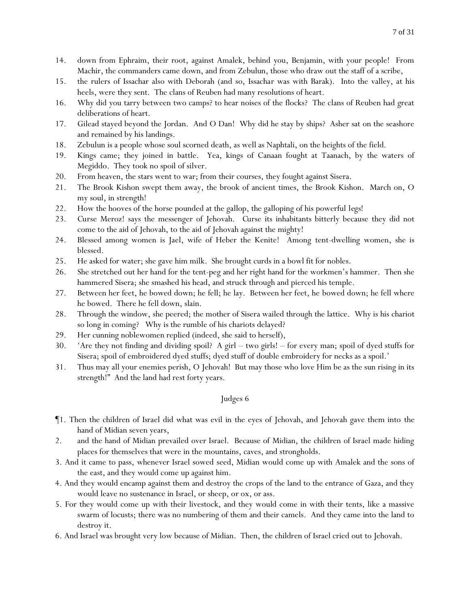- 14. down from Ephraim, their root, against Amalek, behind you, Benjamin, with your people! From Machir, the commanders came down, and from Zebulun, those who draw out the staff of a scribe,
- 15. the rulers of Issachar also with Deborah (and so, Issachar was with Barak). Into the valley, at his heels, were they sent. The clans of Reuben had many resolutions of heart.
- 16. Why did you tarry between two camps? to hear noises of the flocks? The clans of Reuben had great deliberations of heart.
- 17. Gilead stayed beyond the Jordan. And O Dan! Why did he stay by ships? Asher sat on the seashore and remained by his landings.
- 18. Zebulun is a people whose soul scorned death, as well as Naphtali, on the heights of the field.
- 19. Kings came; they joined in battle. Yea, kings of Canaan fought at Taanach, by the waters of Megiddo. They took no spoil of silver.
- 20. From heaven, the stars went to war; from their courses, they fought against Sisera.
- 21. The Brook Kishon swept them away, the brook of ancient times, the Brook Kishon. March on, O my soul, in strength!
- 22. How the hooves of the horse pounded at the gallop, the galloping of his powerful *legs*!
- 23. *C*urse Meroz! says the messenger of Jehovah. *C*urse its inhabitants bitterly because they did not come to the aid of Jehovah, to the aid of Jehovah against the mighty!
- 24. Blessed among women is Jael, wife of Heber the Kenite! Among tent-dwelling women, she is blessed.
- 25. He asked for water; she gave him milk. She brought curds in a bowl fit for nobles.
- 26. She stretched out her hand for the tent-peg and her right hand for the workmen's hammer. Then she hammered Sisera; she smashed his head, and struck through and pierced his temple.
- 27. Between her feet, he bowed down; he fell; he lay. Between her feet, he bowed down; he fell where he bowed. There he fell down, slain.
- 28. Through the window, she peered; the mother of Sisera wailed through the lattice. Why is his chariot so long in coming? Why is the rumble of his chariots delayed?
- 29. Her cunning noblewomen replied (indeed, she said to herself),
- 30. 'Are they not finding and dividing spoil? A girl two girls! for every man; spoil of dyed stuffs for Sisera; spoil of embroidered dyed stuffs; dyed stuff of double embroidery for necks as a spoil.'
- 31. Thus may all your enemies perish, O Jehovah! But may those who love Him be as the sun rising in its strength!" And the land had rest forty years.

- ¶1. Then the children of Israel did what was evil in the eyes of Jehovah, and Jehovah gave them into the hand of Midian seven years,
- 2. and the hand of Midian prevailed over Israel. Because of Midian, the children of Israel made hiding places for themselves that were in the mountains, caves, and strongholds.
- 3. And it came to pass, whenever Israel sowed seed, Midian would come up with Amalek and the sons of the east, and they would come up against him.
- 4. And they would encamp against them and destroy the crops of the land to the entrance of Gaza, and they would leave no sustenance in Israel, or sheep, or ox, or ass.
- 5. For they would come up with their livestock, and they would come in with their tents, like a massive swarm of locusts; there was no numbering of them and their camels. And they came into the land to destroy it.
- 6. And Israel was brought very low because of Midian. Then, the children of Israel cried out to Jehovah.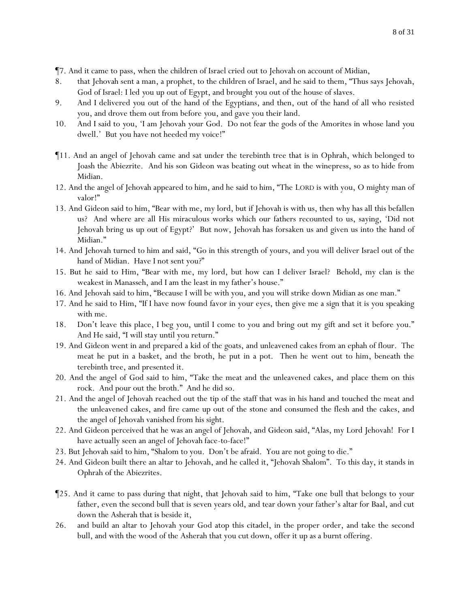¶7. And it came to pass, when the children of Israel cried out to Jehovah on account of Midian,

- 8. that Jehovah sent a man, a prophet, to the children of Israel, and he said to them, "Thus says Jehovah, God of Israel: I led *y*ou up out of Egypt, and brought *y*ou out of the house of slaves.
- 9. And I delivered *y*ou out of the hand of the Egyptians, and then, out of the hand of all who resisted *y*ou, and drove them out from before *y*ou, and gave *y*ou their land.
- 10. And I said to *y*ou, 'I am Jehovah *y*our God. Do not fear the gods of the Amorites in whose land *y*ou dwell.' But *y*ou have not heeded my voice!"
- ¶11. And an angel of Jehovah came and sat under the terebinth tree that is in Ophrah, which belonged to Joash the Abiezrite. And his son Gideon was beating out wheat in the winepress, so as to hide from Midian.
- 12. And the angel of Jehovah appeared to him, and he said to him, "The LORD is with you, O mighty man of valor!"
- 13. And Gideon said to him, "Bear with me, my lord, but if Jehovah is with us, then why has all this befallen us? And where are all His miraculous works which our fathers recounted to us, saying, 'Did not Jehovah bring us up out of Egypt?' But now, Jehovah has forsaken us and given us into the hand of Midian."
- 14. And Jehovah turned to him and said, "Go in this strength of yours, and you will deliver Israel out of the hand of Midian. Have I not sent you?"
- 15. But he said to Him, "Bear with me, my lord, but how can I deliver Israel? Behold, my clan is the weakest in Manasseh, and I am the least in my father's house."
- 16. And Jehovah said to him, "Because I will be with you, and you will strike down Midian as one man."
- 17. And he said to Him, "If I have now found favor in your eyes, then give me a sign that it is you speaking with me.
- 18. Don't leave this place, I beg you, until I come to you and bring out my gift and set it before you." And He said, "I will stay until you return."
- 19. And Gideon went in and prepared a kid of the goats, and unleavened cakes from an ephah of flour. The meat he put in a basket, and the broth, he put in a pot. Then he went out to him, beneath the terebinth tree, and presented it.
- 20. And the angel of God said to him, "Take the meat and the unleavened cakes, and place them on this rock. And pour out the broth." And he did so.
- 21. And the angel of Jehovah reached out the tip of the staff that was in his hand and touched the meat and the unleavened cakes, and fire came up out of the stone and consumed the flesh and the cakes, and the angel of Jehovah vanished from his sight.
- 22. And Gideon perceived that he was an angel of Jehovah, and Gideon said, "Alas, my Lord Jehovah! For I have actually seen an angel of Jehovah face-to-face!"
- 23. But Jehovah said to him, "Shalom to you. Don't be afraid. You are not going to die."
- 24. And Gideon built there an altar to Jehovah, and he called it, "Jehovah Shalom". To this day, it stands in Ophrah of the Abiezrites.
- ¶25. And it came to pass during that night, that Jehovah said to him, "Take one bull that belongs to your father, even the second bull that is seven years old, and tear down your father's altar for Baal, and cut down the Asherah that is beside it,
- 26. and build an altar to Jehovah your God atop this citadel, in the proper order, and take the second bull, and with the wood of the Asherah that you cut down, offer it up as a burnt offering.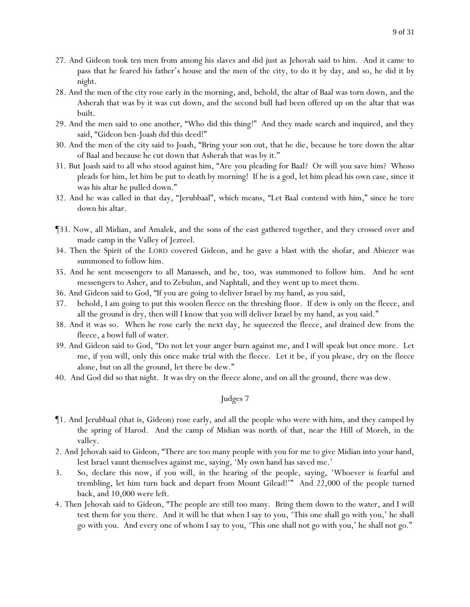- 27. And Gideon took ten men from among his slaves and did just as Jehovah said to him. And it came to pass that he feared his father's house and the men of the city, to do it by day, and so, he did it by night.
- 28. And the men of the city rose early in the morning, and, behold, the altar of Baal was torn down, and the Asherah that was by it was cut down, and the second bull had been offered up on the altar that was built.
- 29. And the men said to one another, "Who did this thing!" And they made search and inquired, and they said, "Gideon ben-Joash did this deed!"
- 30. And the men of the city said to Joash, "Bring your son out, that he die, because he tore down the altar of Baal and because he cut down that Asherah that was by it."
- 31. But Joash said to all who stood against him, "Are *y*ou pleading for Baal? Or will *y*ou save him? Whoso pleads for him, let him be put to death by morning! If he is a god, let him plead his own case, since it was his altar he pulled down."
- 32. And he was called in that day, "Jerubbaal", which means, "Let Baal contend with him," since he tore down his altar.
- ¶33. Now, all Midian, and Amalek, and the sons of the east gathered together, and they crossed over and made camp in the Valley of Jezreel.
- 34. Then the Spirit of the LORD covered Gideon, and he gave a blast with the shofar, and Abiezer was summoned to follow him.
- 35. And he sent messengers to all Manasseh, and he, too, was summoned to follow him. And he sent messengers to Asher, and to Zebulun, and Naphtali, and they went up to meet them.
- 36. And Gideon said to God, "If you are going to deliver Israel by my hand, as you said,
- 37. behold, I am going to put this woolen fleece on the threshing floor. If dew is only on the fleece, and all the ground is dry, then will I know that you will deliver Israel by my hand, as you said."
- 38. And it was so. When he rose early the next day, he squeezed the fleece, and drained dew from the fleece, a bowl full of water.
- 39. And Gideon said to God, "Do not let your anger burn against me, and I will speak but once more. Let me, if you will, only this once make trial with the fleece. Let it be, if you please, dry on the fleece alone, but on all the ground, let there be dew."
- 40. And God did so that night. It was dry on the fleece alone, and on all the ground, there was dew.

- ¶1. And Jerubbaal (that is, Gideon) rose early, and all the people who were with him, and they camped by the spring of Harod. And the camp of Midian was north of that, near the Hill of Moreh, in the valley.
- 2. And Jehovah said to Gideon, "There are too many people with you for me to give Midian into your hand, lest Israel vaunt themselves against me, saying, 'My own hand has saved me.'
- 3. So, declare this now, if you will, in the hearing of the people, saying, 'Whoever is fearful and trembling, let him turn back and depart from Mount Gilead!'" And 22,000 of the people turned back, and 10,000 were left.
- 4. Then Jehovah said to Gideon, "The people are still too many. Bring them down to the water, and I will test them for you there. And it will be that when I say to you, 'This one shall go with you,' he shall go with you. And every one of whom I say to you, 'This one shall not go with you,' he shall not go."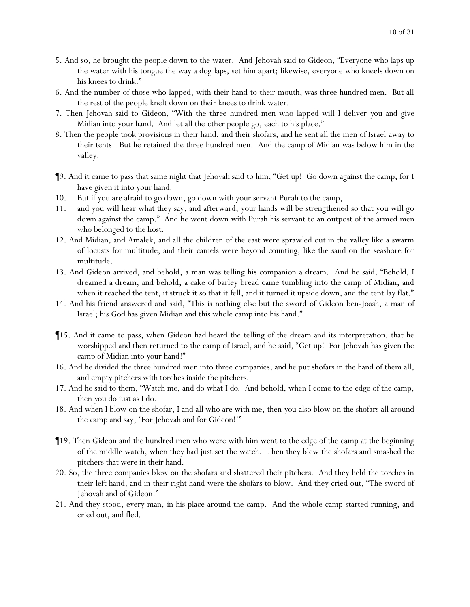- 5. And so, he brought the people down to the water. And Jehovah said to Gideon, "Everyone who laps up the water with his tongue the way a dog laps, set him apart; likewise, everyone who kneels down on his knees to drink."
- 6. And the number of those who lapped, with their hand to their mouth, was three hundred men. But all the rest of the people knelt down on their knees to drink water.
- 7. Then Jehovah said to Gideon, "With the three hundred men who lapped will I deliver *y*ou and give Midian into your hand. And let all the *other* people go, each to his place."
- 8. Then the people took provisions in their hand, and their shofars, and he sent all the men of Israel away to their tents. But he retained the three hundred men. And the camp of Midian was below him in the valley.
- ¶9. And it came to pass that same night that Jehovah said to him, "Get up! Go down against the camp, for I have given it into your hand!
- 10. But if you are afraid to go down, go down with your servant Purah to the camp,
- 11. and you will hear what they say, and afterward, your hands will be strengthened so that you will go down against the camp." And he went down with Purah his servant to an outpost of the armed men who belonged to the host.
- 12. And Midian, and Amalek, and all the children of the east were sprawled out in the valley like a swarm of locusts for multitude, and their camels were beyond counting, like the sand on the seashore for multitude.
- 13. And Gideon arrived, and behold, a man was telling his companion a dream. And he said, "Behold, I dreamed a dream, and behold, a cake of barley bread came tumbling into the camp of Midian, and when it reached the tent, it struck it so that it fell, and it turned it upside down, and the tent lay flat."
- 14. And his friend answered and said, "This is nothing else but the sword of Gideon ben-Joash, a man of Israel; his God has given Midian and this whole camp into his hand."
- ¶15. And it came to pass, when Gideon had heard the telling of the dream and its interpretation, that he worshipped and then returned to the camp of Israel, and he said, "Get up! For Jehovah has given the camp of Midian into *y*our hand!"
- 16. And he divided the three hundred men into three companies, and he put shofars in the hand of them all, and empty pitchers with torches inside the pitchers.
- 17. And he said to them, "Watch me, and do what *I do*. And behold, when I come to the edge of the camp, then *y*ou do just as I do.
- 18. And when I blow on the shofar, I and all who are with me, then *y*ou also blow on the shofars all around the camp and say, 'For Jehovah and for Gideon!'"
- ¶19. Then Gideon and the hundred men who were with him went to the edge of the camp at the beginning of the middle watch, when they had just set the watch. Then they blew the shofars and smashed the pitchers that were in their hand.
- 20. So, the three companies blew on the shofars and shattered their pitchers. And they held the torches in their left hand, and in their right hand were the shofars to blow. And they cried out, "The sword of Jehovah and of Gideon!"
- 21. And they stood, every man, in his place around the camp. And the whole camp started running, and cried out, and fled.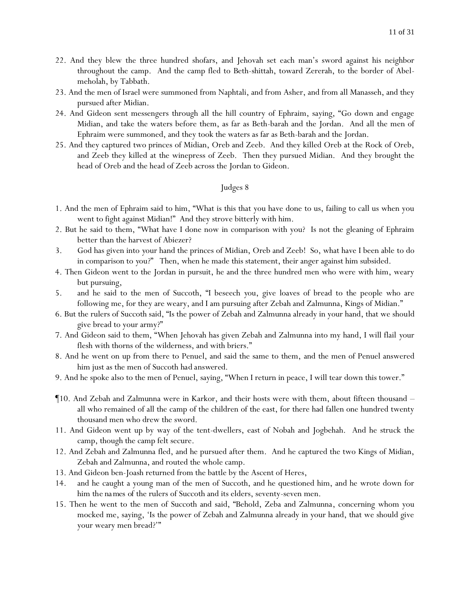- 22. And they blew the three hundred shofars, and Jehovah set each man's sword against his neighbor throughout the camp. And the camp fled to Beth-shittah, toward Zererah, to the border of Abelmeholah, by Tabbath.
- 23. And the men of Israel were summoned from Naphtali, and from Asher, and from all Manasseh, and they pursued after Midian.
- 24. And Gideon sent messengers through all the hill country of Ephraim, saying, "Go down and engage Midian, and take the waters before them, as far as Beth-barah and the Jordan. And all the men of Ephraim were summoned, and they took the waters as far as Beth-barah and the Jordan.
- 25. And they captured two princes of Midian, Oreb and Zeeb. And they killed Oreb at the Rock of Oreb, and Zeeb they killed at the winepress of Zeeb. Then they pursued Midian. And they brought the head of Oreb and the head of Zeeb across the Jordan to Gideon.

- 1. And the men of Ephraim said to him, "What is this that you have done to us, failing to call us when you went to fight against Midian!" And they strove bitterly with him.
- 2. But he said to them, "What have I done now in comparison with you? Is not the gleaning of Ephraim better than the harvest of Abiezer?
- 3. God has given into *y*our hand the princes of Midian, Oreb and Zeeb! So, what have I been able to do in comparison to *y*ou?" Then, when he made this statement, their anger against him subsided.
- 4. Then Gideon went to the Jordan in pursuit, he and the three hundred men who were with him, weary but pursuing,
- 5. and he said to the men of Succoth, "I beseech *y*ou, give loaves of bread to the people who are following me, for they are weary, and I am pursuing after Zebah and Zalmunna, Kings of Midian."
- 6. But the rulers of Succoth said, "Is the power of Zebah and Zalmunna already in your hand, that we should give bread to your army?"
- 7. And Gideon said to them, "When Jehovah has given Zebah and Zalmunna into my hand, I will flail *y*our flesh with thorns of the wilderness, and with briers."
- 8. And he went on up from there to Penuel, and said the same to them, and the men of Penuel answered him just as the men of Succoth *had answered*.
- 9. And he spoke also to the men of Penuel, saying, "When I return in peace, I will tear down this tower."
- ¶10. And Zebah and Zalmunna were in Karkor, and their hosts were with them, about fifteen thousand all who remained of all the camp of the children of the east, for there had fallen one hundred twenty thousand men who drew the sword.
- 11. And Gideon went up by way of the tent-dwellers, east of Nobah and Jogbehah. And he struck the camp, though the camp felt secure.
- 12. And Zebah and Zalmunna fled, and he pursued after them. And he captured the two Kings of Midian, Zebah and Zalmunna, and routed the whole camp.
- 13. And Gideon ben-Joash returned from the battle by the Ascent of Heres,
- 14. and he caught a young man of the men of Succoth, and he questioned him, and he wrote down for him *the names of* the rulers of Succoth and its elders, seventy-seven men.
- 15. Then he went to the men of Succoth and said, "Behold, Zeba and Zalmunna, concerning whom you mocked me, saying, 'Is the power of Zebah and Zalmunna already in your hand, that we should give your weary men bread?'"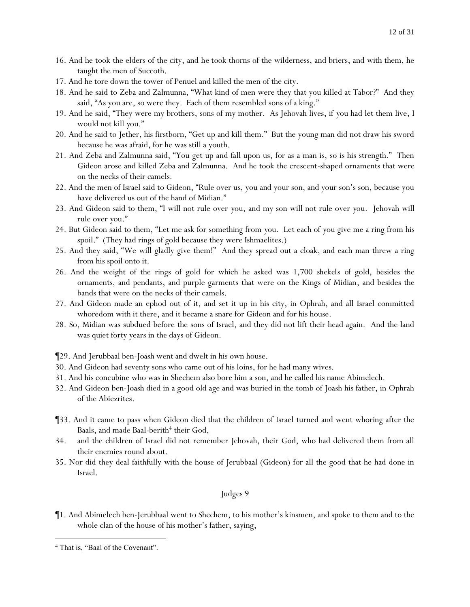- 16. And he took the elders of the city, and *he took* thorns of the wilderness, and briers, and with them, he taught the men of Succoth.
- 17. And he tore down the tower of Penuel and killed the men of the city.
- 18. And he said to Zeba and Zalmunna, "What kind of men were they that you killed at Tabor?" And they said, "As you are, so were they. Each of them resembled sons of a king."
- 19. And he said, "They were my brothers, sons of my mother. As Jehovah lives, if *y*ou had let them live, I would not kill *y*ou."
- 20. And he said to Jether, his firstborn, "Get up and kill them." But the young man did not draw his sword because he was afraid, for he was still a youth.
- 21. And Zeba and Zalmunna said, "You get up and fall upon us, for as a man is, so is his strength." Then Gideon arose and killed Zeba and Zalmunna. And he took the crescent-shaped ornaments that were on the necks of their camels.
- 22. And the men of Israel said to Gideon, "Rule over us, you and your son, and your son's son, because you have delivered us out of the hand of Midian."
- 23. And Gideon said to them, "I will not rule over *y*ou, and my son will not rule over *y*ou. Jehovah will rule over *y*ou."
- 24. But Gideon said to them, "Let me ask for something from *y*ou. Let each of *y*ou give me a ring from his spoil." (They had rings of gold because they were Ishmaelites.)
- 25. And they said, "We will gladly give them!" And they spread out a cloak, and each man threw a ring from his spoil onto it.
- 26. And the weight of the rings of gold for which he asked was 1,700 *shekels of* gold, besides the ornaments, and pendants, and purple garments that were on the Kings of Midian, and besides the bands that were on the necks of their camels.
- 27. And Gideon made an ephod out of it, and set it up in his city, in Ophrah, and all Israel committed whoredom with it there, and it became a snare for Gideon and for his house.
- 28. So, Midian was subdued before the sons of Israel, and they did not lift their head again. And the land was quiet forty years in the days of Gideon.
- ¶29. And Jerubbaal ben-Joash went and dwelt in his own house.
- 30. And Gideon had seventy sons who came out of his loins, for he had many wives.
- 31. And his concubine who was in Shechem also bore him a son, and he called his name Abimelech.
- 32. And Gideon ben-Joash died in a good old age and was buried in the tomb of Joash his father, in Ophrah of the Abiezrites.
- ¶33. And it came to pass when Gideon died that the children of Israel turned and went whoring after the Baals, and made Baal-berith<sup>4</sup> their God,
- 34. and the children of Israel did not remember Jehovah, their God, who had delivered them from all their enemies round about.
- 35. Nor did they deal faithfully with the house of Jerubbaal (Gideon) for all the good that he had done in Israel.

¶1. And Abimelech ben-Jerubbaal went to Shechem, to his mother's kinsmen, and spoke to them and to the whole clan of the house of his mother's father, saying,

<sup>4</sup> That is, "Baal of the Covenant".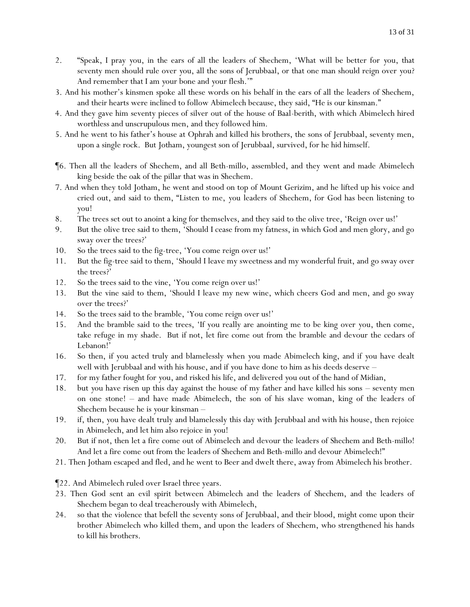- 2. "Speak, I pray *y*ou, in the ears of all the leaders of Shechem, 'What will be better for *y*ou, that seventy men should rule over *y*ou, all the sons of Jerubbaal, or that one man should reign over *y*ou? And remember that I am *y*our bone and *y*our flesh.'"
- 3. And his mother's kinsmen spoke all these words on his behalf in the ears of all the leaders of Shechem, and their hearts were inclined to follow Abimelech because, they said, "He is our kinsman."
- 4. And they gave him seventy pieces of silver out of the house of Baal-berith, with which Abimelech hired worthless and unscrupulous men, and they followed him.
- 5. And he went to his father's house at Ophrah and killed his brothers, the sons of Jerubbaal, seventy men, upon a single rock. But Jotham, youngest son of Jerubbaal, survived, for he hid himself.
- ¶6. Then all the leaders of Shechem, and all Beth-millo, assembled, and they went and made Abimelech king beside the oak of the pillar that was in Shechem.
- 7. And when they told Jotham, he went and stood on top of Mount Gerizim, and he lifted up his voice and cried out, and said to them, "Listen to me, *y*ou leaders of Shechem, for God has been listening to *y*ou!
- 8. The trees set out to anoint a king for themselves, and they said to the olive tree, 'Reign over us!'
- 9. But the olive tree said to them, 'Should I cease from my fatness, in which God and men glory, and go sway over the trees?'
- 10. So the trees said to the fig-tree, 'You come reign over us!'
- 11. But the fig-tree said to them, 'Should I leave my sweetness and my wonderful fruit, and go sway over the trees?'
- 12. So the trees said to the vine, 'You come reign over us!'
- 13. But the vine said to them, 'Should I leave my new wine, which cheers God and men, and go sway over the trees?'
- 14. So the trees said to the bramble, 'You come reign over us!'
- 15. And the bramble said to the trees, 'If you really are anointing me to be king over *y*ou, then come, take refuge in my shade. But if not, let fire come out from the bramble and devour the cedars of Lebanon!'
- 16. So then, if *y*ou acted truly and blamelessly when *y*ou made Abimelech king, and if *y*ou have dealt well with Jerubbaal and with his house, and if *y*ou have done to him as his deeds deserve –
- 17. for my father fought for *y*ou, and risked his life, and delivered *y*ou out of the hand of Midian,
- 18. but *y*ou have risen up this day against the house of my father and have killed his sons seventy men on one stone! – and have made Abimelech, the son of his slave woman, king of the leaders of Shechem because he is *y*our kinsman –
- 19. if, then, *y*ou have dealt truly and blamelessly this day with Jerubbaal and with his house, then rejoice in Abimelech, and let him also rejoice in *y*ou!
- 20. But if not, then let a fire come out of Abimelech and devour the leaders of Shechem and Beth-millo! And let a fire come out from the leaders of Shechem and Beth-millo and devour Abimelech!"
- 21. Then Jotham escaped and fled, and he went to Beer and dwelt there, away from Abimelech his brother.

¶22. And Abimelech ruled over Israel three years.

- 23. Then God sent an evil spirit between Abimelech and the leaders of Shechem, and the leaders of Shechem began to deal treacherously with Abimelech,
- 24. so that the violence that befell the seventy sons of Jerubbaal, and their blood, might come upon their brother Abimelech who killed them, and upon the leaders of Shechem, who strengthened his hands to kill his brothers.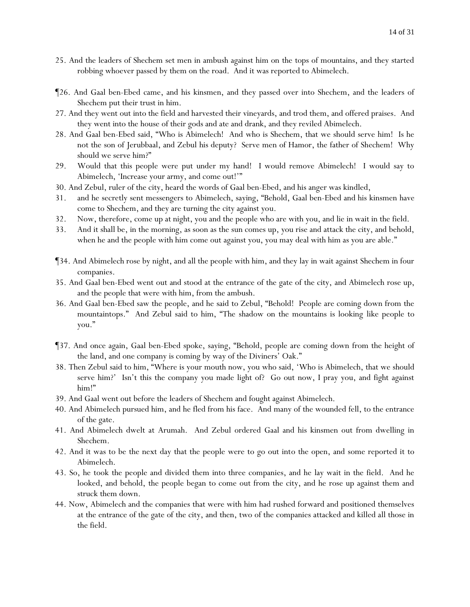- 25. And the leaders of Shechem set men in ambush against him on the tops of mountains, and they started robbing whoever passed by them on the road. And it was reported to Abimelech.
- ¶26. And Gaal ben-Ebed came, and his kinsmen, and they passed over into Shechem, and the leaders of Shechem put their trust in him.
- 27. And they went out into the field and harvested their vineyards, and trod them, and offered praises. And they went into the house of their gods and ate and drank, and they reviled Abimelech.
- 28. And Gaal ben-Ebed said, "Who is Abimelech! And who is Shechem, that we should serve him! Is he not the son of Jerubbaal, and Zebul his deputy? Serve men of Hamor, the father of Shechem! Why should we serve him?"
- 29. Would that this people were put under my hand! I would remove Abimelech! I would say to Abimelech, 'Increase your army, and come out!'"
- 30. And Zebul, ruler of the city, heard the words of Gaal ben-Ebed, and his anger was kindled,
- 31. and he secretly sent messengers to Abimelech, saying, "Behold, Gaal ben-Ebed and his kinsmen have come to Shechem, and they are turning the city against you.
- 32. Now, therefore, come up at night, you and the people who are with you, and lie in wait in the field.
- 33. And it shall be, in the morning, as soon as the sun comes up, you rise and attack the city, and behold, when he and the people with him come out against you, you may deal with him as you are able."
- ¶34. And Abimelech rose by night, and all the people with him, and they lay in wait against Shechem in four companies.
- 35. And Gaal ben-Ebed went out and stood at the entrance of the gate of the city, and Abimelech rose up, and the people that were with him, from the ambush.
- 36. And Gaal ben-Ebed saw the people, and he said to Zebul, "Behold! People are coming down from the mountaintops." And Zebul said to him, "The shadow on the mountains is looking like people to you."
- ¶37. And once again, Gaal ben-Ebed spoke, saying, "Behold, people are coming down from the height of the land, and one company is coming by way of the Diviners' Oak."
- 38. Then Zebul said to him, "Where is your mouth now, you who said, 'Who is Abimelech, that we should serve him?' Isn't this the company you made light of? Go out now, I pray you, and fight against him!"
- 39. And Gaal went out before the leaders of Shechem and fought against Abimelech.
- 40. And Abimelech pursued him, and he fled from his face. And many of the wounded fell, to the entrance of the gate.
- 41. And Abimelech dwelt at Arumah. And Zebul ordered Gaal and his kinsmen out from dwelling in Shechem.
- 42. And it was to be the next day that the people were to go out into the open, and some reported it to Abimelech.
- 43. So, he took the people and divided them into three companies, and he lay wait in the field. And he looked, and behold, the people began to come out from the city, and he rose up against them and struck them down.
- 44. Now, Abimelech and the companies that were with him had rushed forward and positioned themselves at the entrance of the gate of the city, and then, two of the companies attacked and killed all those in the field.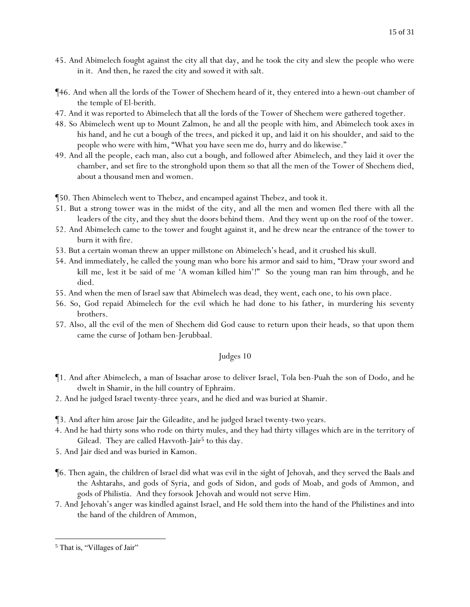- 45. And Abimelech fought against the city all that day, and he took the city and slew the people who were in it. And then, he razed the city and sowed it with salt.
- ¶46. And when all the lords of the Tower of Shechem heard of it, they entered into a hewn-out chamber of the temple of El-berith.
- 47. And it was reported to Abimelech that all the lords of the Tower of Shechem were gathered together.
- 48. So Abimelech went up to Mount Zalmon, he and all the people with him, and Abimelech took axes in his hand, and he cut a bough of the trees, and picked it up, and laid it on his shoulder, and said to the people who were with him, "What *y*ou have seen me do, hurry and do likewise."
- 49. And all the people, each man, also cut a bough, and followed after Abimelech, and they laid it over the chamber, and set fire to the stronghold upon them so that all the men of the Tower of Shechem died, about a thousand men and women.
- ¶50. Then Abimelech went to Thebez, and encamped against Thebez, and took it.
- 51. But a strong tower was in the midst of the city, and all the men and women fled there with all the leaders of the city, and they shut *the doors* behind them. And they went up on the roof of the tower.
- 52. And Abimelech came to the tower and fought against it, and he drew near the entrance of the tower to burn it with fire.
- 53. But a certain woman threw an upper millstone on Abimelech's head, and it crushed his skull.
- 54. And immediately, he called the young man who bore his armor and said to him, "Draw your sword and kill me, lest it be said of me 'A woman killed him'!" So the young man ran him through, and he died.
- 55. And when the men of Israel saw that Abimelech was dead, they went, each one, to his own place.
- 56. So, God repaid Abimelech for the evil which he had done to his father, in murdering his seventy brothers.
- 57. Also, all the evil of the men of Shechem did God cause to return upon their heads, so that upon them came the curse of Jotham ben-Jerubbaal.

- ¶1. And after Abimelech, a man of Issachar arose to deliver Israel, Tola ben-Puah the son of Dodo, and he dwelt in Shamir, in the hill country of Ephraim.
- 2. And he judged Israel twenty-three years, and he died and was buried at Shamir.
- ¶3. And after him arose Jair the Gileadite, and he judged Israel twenty-two years.
- 4. And he had thirty sons who rode on thirty mules, and they had thirty villages which are in the territory of Gilead. They are called Havvoth-Jair<sup>5</sup> to this day.
- 5. And Jair died and was buried in Kamon.
- ¶6. Then again, the children of Israel did what was evil in the sight of Jehovah, and they served the Baals and the Ashtarahs, and gods of Syria, and gods of Sidon, and gods of Moab, and gods of Ammon, and gods of Philistia. And they forsook Jehovah and would not serve Him.
- 7. And Jehovah's anger was kindled against Israel, and He sold them into the hand of the Philistines and into the hand of the children of Ammon,

<sup>5</sup> That is, "Villages of Jair"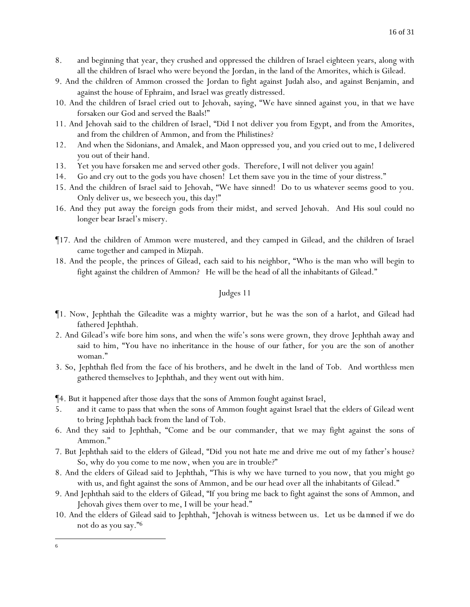- 8. and beginning that year, they crushed and oppressed the children of Israel eighteen years, along with all the children of Israel who were beyond the Jordan, in the land of the Amorites, which is Gilead.
- 9. And the children of Ammon crossed the Jordan to fight against Judah also, and against Benjamin, and against the house of Ephraim, and Israel was greatly distressed.
- 10. And the children of Israel cried out to Jehovah, saying, "We have sinned against you, in that we have forsaken our God and served the Baals!"
- 11. And Jehovah said to the children of Israel, "Did *I* not *deliver you* from Egypt, and from the Amorites, and from the children of Ammon, and from the Philistines?
- 12. And when the Sidonians, and Amalek, and Maon oppressed *y*ou, and *y*ou cried out to me, I delivered *y*ou out of their hand.
- 13. Yet *y*ou have forsaken me and served other gods. Therefore, I will not deliver *y*ou again!
- 14. Go and cry out to the gods *y*ou have chosen! Let them save *y*ou in the time of *y*our distress."
- 15. And the children of Israel said to Jehovah, "We have sinned! Do to us whatever seems good to you. Only deliver us, we beseech you, this day!"
- 16. And they put away the foreign gods from their midst, and served Jehovah. And His soul could no longer bear Israel's misery.
- ¶17. And the children of Ammon were mustered, and they camped in Gilead, and the children of Israel came together and camped in Mizpah.
- 18. And the people, the princes of Gilead, each said to his neighbor, "Who is the man who will begin to fight against the children of Ammon? He will be the head of all the inhabitants of Gilead."

- ¶1. Now, Jephthah the Gileadite was a mighty warrior, but he was the son of a harlot, and Gilead had fathered Jephthah.
- 2. And Gilead's wife bore him sons, and when the wife's sons were grown, they drove Jephthah away and said to him, "You have no inheritance in the house of our father, for you are the son of another woman."
- 3. So, Jephthah fled from the face of his brothers, and he dwelt in the land of Tob. And worthless men gathered themselves to Jephthah, and they went out with him.

¶4. But it happened after those days that the sons of Ammon fought against Israel,

- 5. and it came to pass that when the sons of Ammon fought against Israel that the elders of Gilead went to bring Jephthah back from the land of Tob.
- 6. And they said to Jephthah, "Come and be our commander, that we may fight against the sons of Ammon."
- 7. But Jephthah said to the elders of Gilead, "Did *y*ou not hate me and drive me out of my father's house? So, why do *y*ou come to me now, when *y*ou are in trouble?"
- 8. And the elders of Gilead said to Jephthah, "This is why we have turned to you now, that you might go with us, and fight against the sons of Ammon, and be our head over all the inhabitants of Gilead."
- 9. And Jephthah said to the elders of Gilead, "If *y*ou bring me back to fight against the sons of Ammon, and Jehovah gives them over to me, I will be *y*our head."
- 10. And the elders of Gilead said to Jephthah, "Jehovah is witness between us. *Let us be da mned* if we do not do as you say."<sup>6</sup>

<sup>6</sup>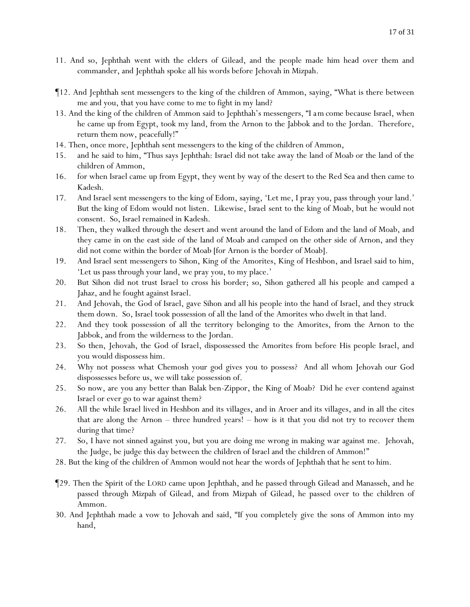- 11. And so, Jephthah went with the elders of Gilead, and the people made him head over them and commander, and Jephthah spoke all his words before Jehovah in Mizpah.
- ¶12. And Jephthah sent messengers to the king of the children of Ammon, saying, "What is there between me and you, that you have come to me to fight in my land?
- 13. And the king of the children of Ammon said to Jephthah's messengers, "*I am come* because Israel, when he came up from Egypt, took my land, from the Arnon to the Jabbok and to the Jordan. Therefore, return them now, peacefully!"
- 14. Then, once more, Jephthah sent messengers to the king of the children of Ammon,
- 15. and he said to him, "Thus says Jephthah: Israel did not take away the land of Moab or the land of the children of Ammon,
- 16. for when Israel came up from Egypt, they went by way of the desert to the Red Sea and then came to Kadesh.
- 17. And Israel sent messengers to the king of Edom, saying, 'Let me, I pray you, pass through your land.' But the king of Edom would not listen. Likewise, *Israel* sent to the king of Moab, but he would not consent. So, Israel remained in Kadesh.
- 18. Then, they walked through the desert and went around the land of Edom and the land of Moab, and they came in on the east side of the land of Moab and camped on the other side of Arnon, and they did not come within the border of Moab [for Arnon is the border of Moab].
- 19. And Israel sent messengers to Sihon, King of the Amorites, King of Heshbon, and Israel said to him, 'Let us pass through your land, we pray you, to my place.'
- 20. But Sihon did not trust Israel to cross his border; so, Sihon gathered all his people and camped a Jahaz, and he fought against Israel.
- 21. And Jehovah, the God of Israel, gave Sihon and all his people into the hand of Israel, and they struck them down. So, Israel took possession of all the land of the Amorites who dwelt in that land.
- 22. And they took possession of all the territory belonging to the Amorites, from the Arnon to the Jabbok, and from the wilderness to the Jordan.
- 23. So then, Jehovah, the God of Israel, dispossessed the Amorites from before His people Israel, and you would dispossess him.
- 24. Why not possess what Chemosh your god gives you to possess? And all whom Jehovah our God dispossesses before us, we will take possession of.
- 25. So now, are you any better than Balak ben-Zippor, the King of Moab? Did he ever contend against Israel or ever go to war against them?
- 26. All the while Israel lived in Heshbon and its villages, and in Aroer and its villages, and in all the cites that are along the Arnon – three hundred years! – how is it that you did not try to recover them during that time?
- 27. So, I have not sinned against you, but you are doing me wrong in making war against me. Jehovah, the Judge, be judge this day between the children of Israel and the children of Ammon!"
- 28. But the king of the children of Ammon would not hear the words of Jephthah that he sent to him.
- ¶29. Then the Spirit of the LORD came upon Jephthah, and he passed through Gilead and Manasseh, and he passed through Mizpah of Gilead, and from Mizpah of Gilead, he passed over to the children of Ammon.
- 30. And Jephthah made a vow to Jehovah and said, "If you completely give the sons of Ammon into my hand,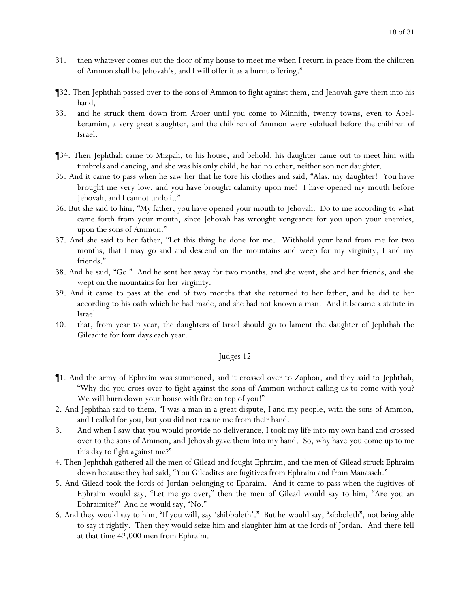- 31. then whatever comes out the door of my house to meet me when I return in peace from the children of Ammon shall be Jehovah's, and I will offer it as a burnt offering."
- ¶32. Then Jephthah passed over to the sons of Ammon to fight against them, and Jehovah gave them into his hand,
- 33. and he struck them down from Aroer until you come to Minnith, twenty towns, even to Abelkeramim, a very great slaughter, and the children of Ammon were subdued before the children of Israel.
- ¶34. Then Jephthah came to Mizpah, to his house, and behold, his daughter came out to meet him with timbrels and dancing, and she was his only child; he had no other, neither son nor daughter.
- 35. And it came to pass when he saw her that he tore his clothes and said, "Alas, my daughter! You have brought me very low, and you have brought calamity upon me! I have opened my mouth before Jehovah, and I cannot undo it."
- 36. But she said to him, "My father, you have opened your mouth to Jehovah. Do to me according to what came forth from your mouth, since Jehovah has wrought vengeance for you upon your enemies, upon the sons of Ammon."
- 37. And she said to her father, "Let this thing be done for me. Withhold *your hand* from me for two months, that I may go and and descend on the mountains and weep for my virginity, I and my friends."
- 38. And he said, "Go." And he sent her away for two months, and she went, she and her friends, and she wept on the mountains for her virginity.
- 39. And it came to pass at the end of two months that she returned to her father, and he did to her according to his oath which he had made, and she had not known a man. And it became a statute in Israel
- 40. that, from year to year, the daughters of Israel should go to lament the daughter of Jephthah the Gileadite for four days each year.

- ¶1. And the army of Ephraim was summoned, and it crossed over to Zaphon, and they said to Jephthah, "Why did you cross over to fight against the sons of Ammon without calling us to come with you? We will burn down your house with fire on top of you!"
- 2. And Jephthah said to them, "I was a man in a great dispute, I and my people, with the sons of Ammon, and I called for *y*ou, but *y*ou did not rescue me from their hand.
- 3. And when I saw that *y*ou would provide no deliverance, I took my life into my own hand and crossed over to the sons of Ammon, and Jehovah gave them into my hand. So, why have *y*ou come up to me this day to fight against me?"
- 4. Then Jephthah gathered all the men of Gilead and fought Ephraim, and the men of Gilead struck Ephraim down because they had said, "You Gileadites are fugitives from Ephraim and from Manasseh."
- 5. And Gilead took the fords of Jordan belonging to Ephraim. And it came to pass when the fugitives of Ephraim would say, "Let me go over," then the men of Gilead would say to him, "Are you an Ephraimite?" And he would say, "No."
- 6. And they would say to him, "If you will, say 'shibboleth'." But he would say, "sibboleth", not being able to say it rightly. Then they would seize him and slaughter him at the fords of Jordan. And there fell at that time 42,000 men from Ephraim.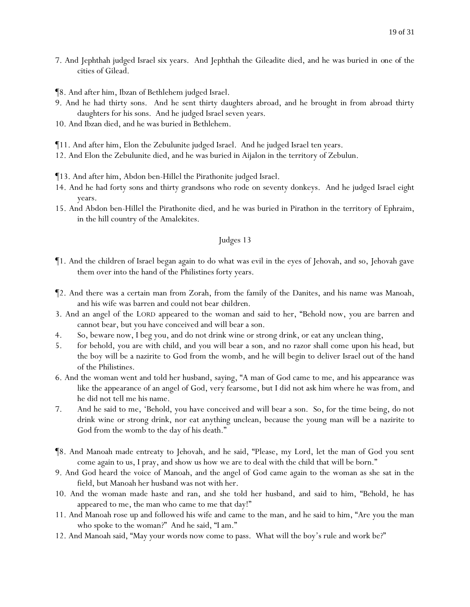- 7. And Jephthah judged Israel six years. And Jephthah the Gileadite died, and he was buried in *one of* the cities of Gilead.
- ¶8. And after him, Ibzan of Bethlehem judged Israel.
- 9. And he had thirty sons. And he sent thirty daughters abroad, and he brought in from abroad thirty daughters for his sons. And he judged Israel seven years.
- 10. And Ibzan died, and he was buried in Bethlehem.
- ¶11. And after him, Elon the Zebulunite judged Israel. And he judged Israel ten years.
- 12. And Elon the Zebulunite died, and he was buried in Aijalon in the territory of Zebulun.
- ¶13. And after him, Abdon ben-Hillel the Pirathonite judged Israel.
- 14. And he had forty sons and thirty grandsons who rode on seventy donkeys. And he judged Israel eight years.
- 15. And Abdon ben-Hillel the Pirathonite died, and he was buried in Pirathon in the territory of Ephraim, in the hill country of the Amalekites.

- ¶1. And the children of Israel began again to do what was evil in the eyes of Jehovah, and so, Jehovah gave them over into the hand of the Philistines forty years.
- ¶2. And there was a certain man from Zorah, from the family of the Danites, and his name was Manoah, and his wife was barren and could not bear *children*.
- 3. And an angel of the LORD appeared to the woman and said to her, "Behold now, you are barren and cannot bear, but you have conceived and will bear a son.
- 4. So, beware now, I beg you, and do not drink wine or strong drink, or eat any unclean thing,
- 5. for behold, you are with child, and you will bear a son, and no razor shall come upon his head, but the boy will be a nazirite to God from the womb, and he will begin to deliver Israel out of the hand of the Philistines.
- 6. And the woman went and told her husband, saying, "A man of God came to me, and his appearance was like the appearance of an angel of God, very fearsome, but I did not ask him where he was from, and he did not tell me his name.
- 7. And he said to me, 'Behold, you have conceived and will bear a son. So, for the time being, do not drink wine or strong drink, nor eat anything unclean, because the young man will be a nazirite to God from the womb to the day of his death."
- ¶8. And Manoah made entreaty to Jehovah, and he said, "Please, my Lord, let the man of God you sent come again to us, I pray, and show us how we are to deal with the child that will be born."
- 9. And God heard the voice of Manoah, and the angel of God came again to the woman as she sat in the field, but Manoah her husband was not with her.
- 10. And the woman made haste and ran, and she told her husband, and said to him, "Behold, he has appeared to me, the man who came to me that day!"
- 11. And Manoah rose up and followed his wife and came to the man, and he said to him, "Are you the man who spoke to the woman?" And he said, "I am."
- 12. And Manoah said, "May your words now come to pass. What will the boy's rule and work be?"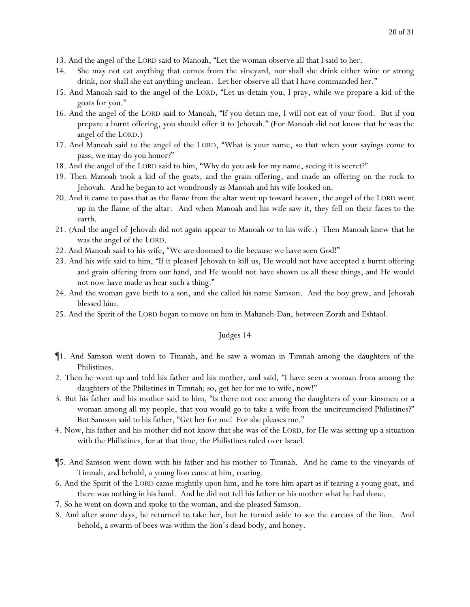- 13. And the angel of the LORD said to Manoah, "Let the woman observe all that I said to her.
- 14. She may not eat anything that comes from the vineyard, nor shall she drink either wine or strong drink, nor shall she eat anything unclean. Let her observe all that I have commanded her."
- 15. And Manoah said to the angel of the LORD, "Let us detain you, I pray, while we prepare a kid of the goats for you."
- 16. And the angel of the LORD said to Manoah, "If you detain me, I will not eat of your food. But if you prepare a burnt offering, you should offer it to Jehovah." (For Manoah did not know that he was the angel of the LORD.)
- 17. And Manoah said to the angel of the LORD, "What is your name, so that when your sayings come to pass, we may do you honor?"
- 18. And the angel of the LORD said to him, "Why do you ask for my name, seeing it is secret?"
- 19. Then Manoah took a kid of the goats, and the grain offering, and made an offering on the rock to Jehovah. And he began to act wondrously as Manoah and his wife looked on.
- 20. And it came to pass that as the flame from the altar went up toward heaven, the angel of the LORD went up in the flame of the altar. And when Manoah and his wife saw it, they fell on their faces to the earth.
- 21. (And the angel of Jehovah did not again appear to Manoah or to his wife.) Then Manoah knew that he was the angel of the LORD.
- 22. And Manoah said to his wife, "We are doomed to die because we have seen God!"
- 23. And his wife said to him, "*If* it pleased Jehovah to kill us, He would not have accepted a burnt offering and grain offering from our hand, and He would not have shown us all these things, and He would not now have made us hear such a thing."
- 24. And the woman gave birth to a son, and she called his name Samson. And the boy grew, and Jehovah blessed him.
- 25. And the Spirit of the LORD began to move on him in Mahaneh-Dan, between Zorah and Eshtaol.

- ¶1. And Samson went down to Timnah, and he saw a woman in Timnah among the daughters of the Philistines.
- 2. Then he went up and told his father and his mother, and said, "I have seen a woman from among the daughters of the Philistines in Timnah; so, get her for me to wife, now!"
- 3. But his father and his mother said to him, "Is there not one among the daughters of your kinsmen or a woman among all my people, that you would go to take a wife from the uncircumcised Philistines?" But Samson said to his father, "Get her for me! For she pleases me."
- 4. Now, his father and his mother did not know that she was of the LORD, for He was setting up a situation with the Philistines, for at that time, the Philistines ruled over Israel.
- ¶5. And Samson went down with his father and his mother to Timnah. And he came to the vineyards of Timnah, and behold, a young lion came at him, roaring.
- 6. And the Spirit of the LORD came mightily upon him, and he tore him apart as if tearing a young goat, and there was nothing in his hand. And he did not tell his father or his mother what he had done.
- 7. So he went on down and spoke to the woman, and she pleased Samson.
- 8. And after some days, he returned to take her, but he turned aside to see the carcass of the lion. And behold, a swarm of bees was within the lion's dead body, and honey.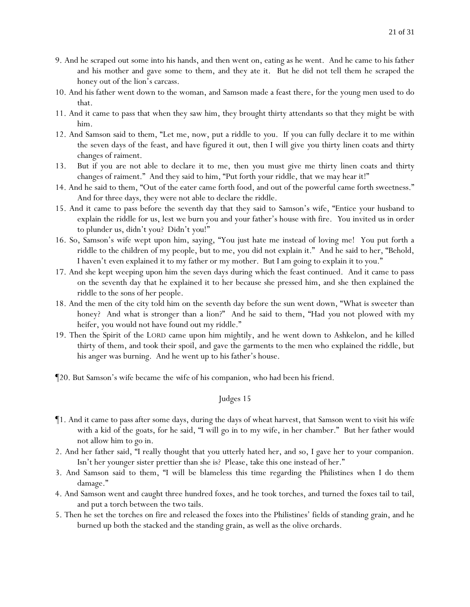- 9. And he scraped out some into his hands, and then went on, eating as he went. And he came to his father and his mother and gave some to them, and they ate it. But he did not tell them he scraped the honey out of the lion's carcass.
- 10. And his father went down to the woman, and Samson made a feast there, for the young men used to do that.
- 11. And it came to pass that when they saw him, they brought thirty attendants so that they might be with him.
- 12. And Samson said to them, "Let me, now, put a riddle to *y*ou. If *y*ou can fully declare it to me within the seven days of the feast, and have figured it out, then I will give *y*ou thirty linen coats and thirty changes of raiment.
- 13. But if *y*ou are not able to declare it to me, then *y*ou must give me thirty linen coats and thirty changes of raiment." And they said to him, "Put forth your riddle, that we may hear it!"
- 14. And he said to them, "Out of the eater came forth food, and out of the powerful came forth sweetness." And for three days, they were not able to declare the riddle.
- 15. And it came to pass before the seventh day that they said to Samson's wife, "Entice your husband to explain the riddle for us, lest we burn you and your father's house with fire. *Y*ou invited us in order to plunder us, didn't you? Didn't *you!*"
- 16. So, Samson's wife wept upon him, saying, "You just hate me instead of loving me! You put forth a riddle to the children of my people, but to me, you did not explain it." And he said to her, "Behold, I haven't *even* explained it to my father or my mother. But I am going to explain it to you."
- 17. And she kept weeping upon him the seven days during which the feast continued. And it came to pass on the seventh day that he explained it to her because she pressed him, and she then explained the riddle to the sons of her people.
- 18. And the men of the city told him on the seventh day before the sun went down, "What is sweeter than honey? And what is stronger than a lion?" And he said to them, "Had *y*ou not plowed with my heifer, *y*ou would not have found out my riddle."
- 19. Then the Spirit of the LORD came upon him mightily, and he went down to Ashkelon, and he killed thirty of them, and took their spoil, and gave the garments to the men who explained the riddle, but his anger was burning. And he went up to his father's house.
- ¶20. But Samson's wife became *the wife* of his companion, who had been his friend.

- ¶1. And it came to pass after some days, during the days of wheat harvest, that Samson went to visit his wife with a kid of the goats, for he said, "I will go in to my wife, in her chamber." But her father would not allow him to go in.
- 2. And her father said, "I really thought that you utterly hated her, and so, I gave her to your companion. Isn't her younger sister prettier than she is? Please, take this one instead of her."
- 3. And Samson said to them, "I will be blameless this time regarding the Philistines when I do them damage."
- 4. And Samson went and caught three hundred foxes, and he took torches, and turned *the foxes* tail to tail, and put a torch between the two tails.
- 5. Then he set the torches on fire and released *the foxes* into the Philistines' fields of standing grain, and he burned up both the stacked and the standing grain, as well as the olive orchards.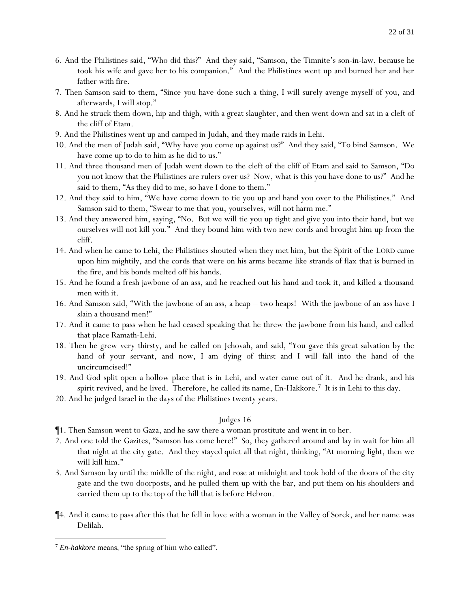- 6. And the Philistines said, "Who did this?" And they said, "Samson, the Timnite's son-in-law, because he took his wife and gave her to his companion." And the Philistines went up and burned her and her father with fire.
- 7. Then Samson said to them, "Since *y*ou have done such a thing, I will surely avenge myself of *y*ou, and afterwards, I will stop."
- 8. And he struck them down, hip and thigh, with a great slaughter, and then went down and sat in a cleft of the cliff of Etam.
- 9. And the Philistines went up and camped in Judah, and they made raids in Lehi.
- 10. And the men of Judah said, "Why have *y*ou come up against us?" And they said, "To bind Samson. We have come up to do to him as he did to us."
- 11. And three thousand men of Judah went down to the cleft of the cliff of Etam and said to Samson, "Do you not know that the Philistines are rulers over us? Now, what is this you have done to us?" And he said to them, "As they did to me, so have I done to them."
- 12. And they said to him, "We have come down to tie you up and hand you over to the Philistines." And Samson said to them, "Swear to me that *y*ou, *y*ourselves, will not harm me."
- 13. And they answered him, saying, "No. But we will tie you up tight and give you into their hand, but we ourselves will not kill you." And they bound him with two new cords and brought him up from the cliff.
- 14. And when he came to Lehi, the Philistines shouted when they met him, but the Spirit of the LORD came upon him mightily, and the cords that were on his arms became like strands of flax that is burned in the fire, and his bonds melted off his hands.
- 15. And he found a fresh jawbone of an ass, and he reached out his hand and took it, and killed a thousand men with it.
- 16. And Samson said, "With the jawbone of an ass, a heap two heaps! With the jawbone of an ass have I slain a thousand men!"
- 17. And it came to pass when he had ceased speaking that he threw the jawbone from his hand, and called that place Ramath-Lehi.
- 18. Then he grew very thirsty, and he called on Jehovah, and said, "You gave this great salvation by the hand of your servant, and now, I am dying of thirst and I will fall into the hand of the uncircumcised!"
- 19. And God split open a hollow place that is in Lehi, and water came out of it. And he drank, and his spirit revived, and he lived. Therefore, he called its name,  $En$ -Hakkore.<sup>7</sup> It is in Lehi to this day.
- 20. And he judged Israel in the days of the Philistines twenty years.

- ¶1. Then Samson went to Gaza, and he saw there a woman prostitute and went in to her.
- 2. And one told the Gazites, "Samson has come here!" So, they gathered around and lay in wait for him all that night at the city gate. And they stayed quiet all that night, thinking, "At morning light, then we will kill him."
- 3. And Samson lay until the middle of the night, and rose at midnight and took hold of the doors of the city gate and the two doorposts, and he pulled them up with the bar, and put them on his shoulders and carried them up to the top of the hill that is before Hebron.
- ¶4. And it came to pass after this that he fell in love with a woman in the Valley of Sorek, and her name was Delilah.

<sup>7</sup> *En-hakkore* means, "the spring of him who called".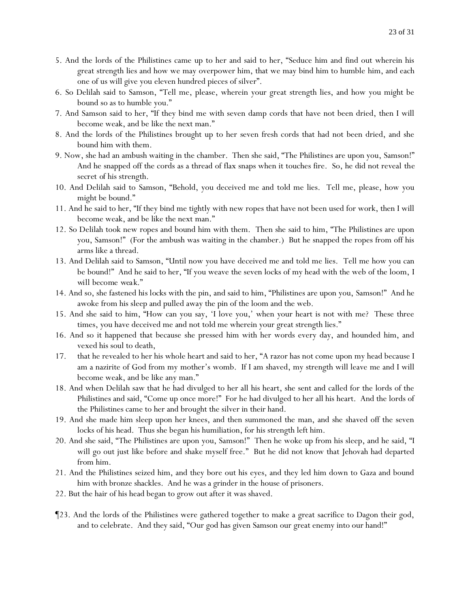- 5. And the lords of the Philistines came up to her and said to her, "Seduce him and find out wherein his great strength lies and how we may overpower him, that we may bind him to humble him, and each one of us will give you eleven hundred pieces of silver".
- 6. So Delilah said to Samson, "Tell me, please, wherein your great strength lies, and how you might be bound so as to humble you."
- 7. And Samson said to her, "If they bind me with seven damp cords that have not been dried, then I will become weak, and be like the next man."
- 8. And the lords of the Philistines brought up to her seven fresh cords that had not been dried, and she bound him with them.
- 9. Now, she had an ambush waiting in the chamber. Then she said, "The Philistines are upon you, Samson!" And he snapped off the cords as a thread of flax snaps when it touches fire. So, he did not reveal *the secret of* his strength.
- 10. And Delilah said to Samson, "Behold, you deceived me and told me lies. Tell me, please, how you might be bound."
- 11. And he said to her, "If they bind me tightly with new ropes that have not been used for work, then I will become weak, and be like the next man."
- 12. So Delilah took new ropes and bound him with them. Then she said to him, "The Philistines are upon you, Samson!" (For the ambush was waiting in the chamber.) But he snapped the ropes from off his arms like a thread.
- 13. And Delilah said to Samson, "Until now you have deceived me and told me lies. Tell me how you can be bound!" And he said to her, "If you weave the seven locks of my head with the web of the loom, *I will become weak*."
- 14. And so, she fastened *his locks* with the pin, and said to him, "Philistines are upon you, Samson!" And he awoke from his sleep and pulled away the pin of the loom and the web.
- 15. And she said to him, "How can you say, 'I love you,' when your heart is not with me? These three times, you have deceived me and not told me wherein your great strength lies."
- 16. And so it happened that because she pressed him with her words every day, and hounded him, and vexed his soul to death,
- 17. that he revealed to her his whole heart and said to her, "A razor has not come upon my head because I am a nazirite of God from my mother's womb. If I am shaved, my strength will leave me and I will become weak, and be like any man."
- 18. And when Delilah saw that he had divulged to her all his heart, she sent and called for the lords of the Philistines and said, "Come up once more!" For he had divulged to her all his heart. And the lords of the Philistines came to her and brought the silver in their hand.
- 19. And she made him sleep upon her knees, and then summoned the man, and she shaved off the seven locks of his head. Thus she began his humiliation, for his strength left him.
- 20. And she said, "The Philistines are upon you, Samson!" Then he woke up from his sleep, and he said, "I will go out just like before and shake myself free." But he did not know that Jehovah had departed from him.
- 21. And the Philistines seized him, and they bore out his eyes, and they led him down to Gaza and bound him with bronze shackles. And he was a grinder in the house of prisoners.
- 22. But the hair of his head began to grow out after it was shaved.
- ¶23. And the lords of the Philistines were gathered together to make a great sacrifice to Dagon their god, and to celebrate. And they said, "Our god has given Samson our great enemy into our hand!"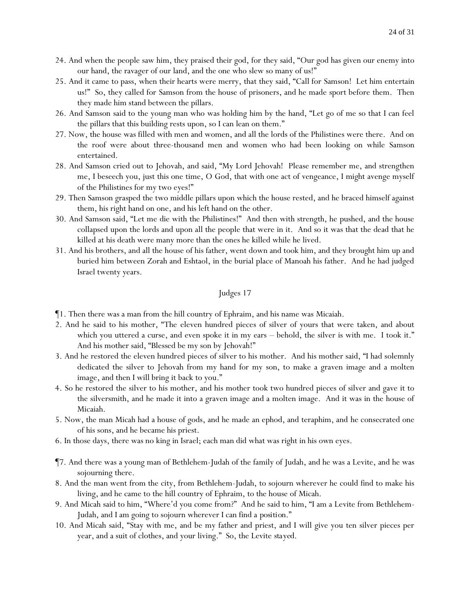- 24. And when the people saw him, they praised their god, for they said, "Our god has given our enemy into our hand, the ravager of our land, and the one who slew so many of us!"
- 25. And it came to pass, when their hearts were merry, that they said, "Call for Samson! Let him entertain us!" So, they called for Samson from the house of prisoners, and he made sport before them. Then they made him stand between the pillars.
- 26. And Samson said to the young man who was holding him by the hand, "Let go of me so that I can feel the pillars that this building rests upon, so I can lean on them."
- 27. Now, the house was filled with men and women, and all the lords of the Philistines were there. And on the roof were about three-thousand men and women who had been looking on while Samson entertained.
- 28. And Samson cried out to Jehovah, and said, "My Lord Jehovah! Please remember me, and strengthen me, I beseech you, just this one time, O God, that with one act of vengeance, I might avenge myself of the Philistines for my two eyes!"
- 29. Then Samson grasped the two middle pillars upon which the house rested, and he braced himself against them, his right hand on one, and his left hand on the other.
- 30. And Samson said, "Let me die with the Philistines!" And then with strength, he pushed, and the house collapsed upon the lords and upon all the people that were in it. And so it was that the dead that he killed at his death were many more than the ones he killed while he lived.
- 31. And his brothers, and all the house of his father, went down and took him, and they brought him up and buried him between Zorah and Eshtaol, in the burial place of Manoah his father. And he had judged Israel twenty years.

- ¶1. Then there was a man from the hill country of Ephraim, and his name was Micaiah.
- 2. And he said to his mother, "The eleven hundred pieces of silver of yours that were taken, and about which you uttered a curse, and even spoke it in my ears – behold, the silver is with me. I took it." And his mother said, "Blessed be my son by Jehovah!"
- 3. And he restored the eleven hundred pieces of silver to his mother. And his mother said, "I had solemnly dedicated the silver to Jehovah from my hand for my son, to make a graven image and a molten image, and then I will bring it back to you."
- 4. So he restored the silver to his mother, and his mother took two hundred pieces of silver and gave it to the silversmith, and he made it into a graven image and a molten image. And it was in the house of Micaiah.
- 5. Now, the man Micah had a house of gods, and he made an ephod, and teraphim, and he consecrated one of his sons, and he became his priest.
- 6. In those days, there was no king in Israel; each man did what was right in his own eyes.
- ¶7. And there was a young man of Bethlehem-Judah of the family of Judah, and he was a Levite, and he was sojourning there.
- 8. And the man went from the city, from Bethlehem-Judah, to sojourn wherever he could find to make his living, and he came to the hill country of Ephraim, to the house of Micah.
- 9. And Micah said to him, "Where'd you come from?" And he said to him, "I am a Levite from Bethlehem-Judah, and I am going to sojourn wherever I can find *a position*."
- 10. And Micah said, "Stay with me, and be my father and priest, and I will give you ten silver pieces per year, and a suit of clothes, and your living." So, the Levite *stayed*.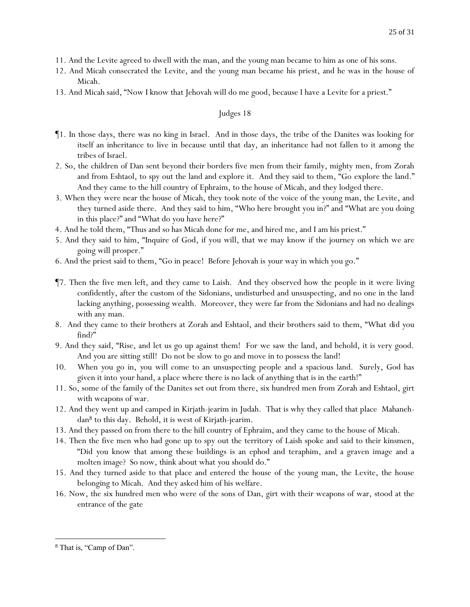- 11. And the Levite agreed to dwell with the man, and the young man became to him as one of his sons.
- 12. And Micah consecrated the Levite, and the young man became his priest, and he was in the house of Micah.
- 13. And Micah said, "Now I know that Jehovah will do me good, because I have a Levite for a priest."

- ¶1. In those days, there was no king in Israel. And in those days, the tribe of the Danites was looking for itself an inheritance to live in because until that day, an inheritance had not fallen to it among the tribes of Israel.
- 2. So, the children of Dan sent beyond their borders five men from their family, mighty men, from Zorah and from Eshtaol, to spy out the land and explore it. And they said to them, "Go explore the land." And they came to the hill country of Ephraim, to the house of Micah, and they lodged there.
- 3. When they were near the house of Micah, they took note of the voice of the young man, the Levite, and they turned aside there. And they said to him, "Who here brought you in?" and "What are you doing in this place?" and "What do you have here?"
- 4. And he told them, "Thus and so has Micah done for me, and hired me, and I am his priest."
- 5. And they said to him, "Inquire of God, if you will, that we may know if the journey on which we are going will prosper."
- 6. And the priest said to them, "Go in peace! Before Jehovah is *y*our way in which *y*ou go."
- ¶7. Then the five men left, and they came to Laish. And they observed how the people in it were living confidently, after the custom of the Sidonians, undisturbed and unsuspecting, and no one in the land lacking anything, possessing wealth. Moreover, they were far from the Sidonians and had no dealings with any man.
- 8. And they came to their brothers at Zorah and Eshtaol, and their brothers said to them, "What *did y*ou *find*?"
- 9. And they said, "Rise, and let us go up against them! For we saw the land, and behold, it is very good. And *y*ou are sitting still! Do not be slow to go and move in to possess the land!
- 10. When *y*ou go in, *y*ou will come to an unsuspecting people and a spacious land. Surely, God has given it into *y*our hand, a place where there is no lack of anything that is in the earth!"
- 11. So, some of the family of the Danites set out from there, six hundred men from Zorah and Eshtaol, girt with weapons of war.
- 12. And they went up and camped in Kirjath-jearim in Judah. That is why they called that place Mahanehdan<sup>8</sup> to this day. Behold, it is west of Kirjath-jearim.
- 13. And they passed on from there to the hill country of Ephraim, and they came to the house of Micah.
- 14. Then the five men who had gone up to spy out the territory of Laish spoke and said to their kinsmen, "Did *y*ou know that among these buildings is an ephod and teraphim, and a graven image and a molten image? So now, think about what *y*ou should do."
- 15. And they turned aside to that place and entered the house of the young man, the Levite, the house belonging to Micah. And they asked him of his welfare.
- 16. Now, the six hundred men who were of the sons of Dan, girt with their weapons of war, stood at the entrance of the gate

<sup>8</sup> That is, "Camp of Dan".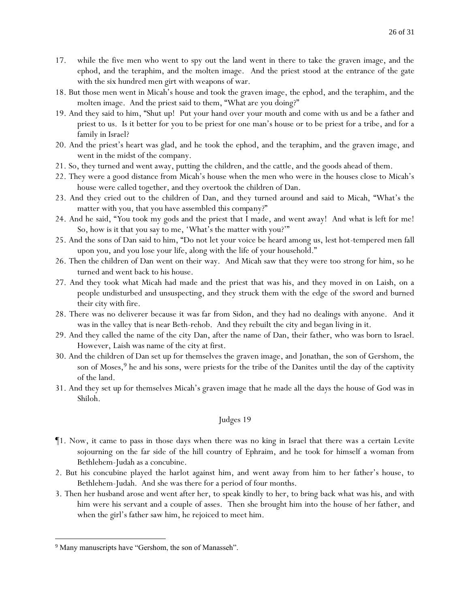- 17. while the five men who went to spy out the land went in there to take the graven image, and the ephod, and the teraphim, and the molten image. And the priest stood at the entrance of the gate with the six hundred men girt with weapons of war.
- 18. But those men went in Micah's house and took the graven image, the ephod, and the teraphim, and the molten image. And the priest said to them, "What are *y*ou doing?"
- 19. And they said to him, "Shut up! Put your hand over your mouth and come with us and be a father and priest to us. Is it better for you to be priest for one man's house or to be priest for a tribe, and for a family in Israel?
- 20. And the priest's heart was glad, and he took the ephod, and the teraphim, and the graven image, and went in the midst of the company.
- 21. So, they turned and went away, putting the children, and the cattle, and the goods ahead of them.
- 22. They were a good distance from Micah's house when the men who were in the houses close to Micah's house were called together, and they overtook the children of Dan.
- 23. And they cried out to the children of Dan, and they turned around and said to Micah, "What's the matter with you, that you have assembled *this company*?"
- 24. And he said, "*Y*ou took my gods and the priest that I made, and went away! And what is left for me! So, how is it that *y*ou say to me, 'What's the matter with you?'"
- 25. And the sons of Dan said to him, "Do not let your voice be heard among us, lest hot-tempered men fall upon *y*ou, and you lose your life, along with the life of your household."
- 26. Then the children of Dan went on their way. And Micah saw that they were too strong for him, so he turned and went back to his house.
- 27. And they took what Micah had made and the priest that was his, and they moved in on Laish, on a people undisturbed and unsuspecting, and they struck them with the edge of the sword and burned their city with fire.
- 28. There was no deliverer because it was far from Sidon, and they had no dealings with anyone. And it was in the valley that is near Beth-rehob. And they rebuilt the city and began living in it.
- 29. And they called the name of the city Dan, after the name of Dan, their father, who was born to Israel. However, Laish was name of the city at first.
- 30. And the children of Dan set up for themselves the graven image, and Jonathan, the son of Gershom, the son of Moses,  $9$  he and his sons, were priests for the tribe of the Danites until the day of the captivity of the land.
- 31. And they set up for themselves Micah's graven image that he made all the days the house of God was in Shiloh.

- ¶1. Now, it came to pass in those days when there was no king in Israel that there was a certain Levite sojourning on the far side of the hill country of Ephraim, and he took for himself a woman from Bethlehem-Judah as a concubine.
- 2. But his concubine played the harlot against him, and went away from him to her father's house, to Bethlehem-Judah. And she was there for a period of four months.
- 3. Then her husband arose and went after her, to speak kindly to her, to bring back what was his, and with him were his servant and a couple of asses. Then she brought him into the house of her father, and when the girl's father saw him, he rejoiced to meet him.

<sup>&</sup>lt;sup>9</sup> Many manuscripts have "Gershom, the son of Manasseh".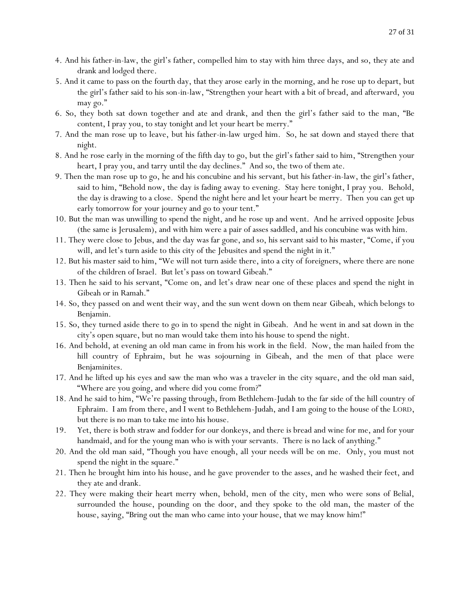- 4. And his father-in-law, the girl's father, compelled him to stay with him three days, and so, they ate and drank and lodged there.
- 5. And it came to pass on the fourth day, that they arose early in the morning, and he rose up to depart, but the girl's father said to his son-in-law, "Strengthen your heart with a bit of bread, and afterward, *y*ou may go."
- 6. So, they both sat down together and ate and drank, and then the girl's father said to the man, "Be content, I pray you, to stay tonight and let your heart be merry."
- 7. And the man rose up to leave, but his father-in-law urged him. So, he sat down and stayed there that night.
- 8. And he rose early in the morning of the fifth day to go, but the girl's father said to him, "Strengthen your heart, I pray you, and tarry until the day declines." And so, the two of them ate.
- 9. Then the man rose up to go, he and his concubine and his servant, but his father-in-law, the girl's father, said to him, "Behold now, the day is fading away to evening. Stay here tonight, I pray you. Behold, the day is drawing to a close. Spend the night here and let your heart be merry. Then *y*ou can get up early tomorrow for *y*our journey and go to your tent."
- 10. But the man was unwilling to spend the night, and he rose up and went. And he arrived opposite Jebus (the same is Jerusalem), and with him were a pair of asses saddled, and his concubine was with him.
- 11. They were close to Jebus, and the day was far gone, and so, his servant said to his master, "Come, if you will, and let's turn aside to this city of the Jebusites and spend the night in it."
- 12. But his master said to him, "We will not turn aside there, into a city of foreigners, where there are none of the children of Israel. But let's pass on toward Gibeah."
- 13. Then he said to his servant, "Come on, and let's draw near one of these places and spend the night in Gibeah or in Ramah."
- 14. So, they passed on and went their way, and the sun went down on them near Gibeah, which belongs to Benjamin.
- 15. So, they turned aside there to go in to spend the night in Gibeah. And he went in and sat down in the city's open square, but no man would take them into his house to spend the night.
- 16. And behold, at evening an old man came in from his work in the field. Now, the man hailed from the hill country of Ephraim, but he was sojourning in Gibeah, and the men of that place were Benjaminites.
- 17. And he lifted up his eyes and saw the man who was a traveler in the city square, and the old man said, "Where are you going, and where did you come from?"
- 18. And he said to him, "We're passing through, from Bethlehem-Judah to the far side of the hill country of Ephraim. I am from there, and I went to Bethlehem-Judah, and I am going to the house of the LORD, but there is no man to take me into his house.
- 19. Yet, there is both straw and fodder for our donkeys, and there is bread and wine for me, and for your handmaid, and for the young man who is with your servants. There is no lack of anything."
- 20. And the old man said, "Though you have enough, all your needs will be on me. Only, you must not spend the night in the square."
- 21. Then he brought him into his house, and he gave provender to the asses, and he washed their feet, and they ate and drank.
- 22. They were making their heart merry when, behold, men of the city, men who were sons of Belial, surrounded the house, pounding on the door, and they spoke to the old man, the master of the house, saying, "Bring out the man who came into your house, that we may know him!"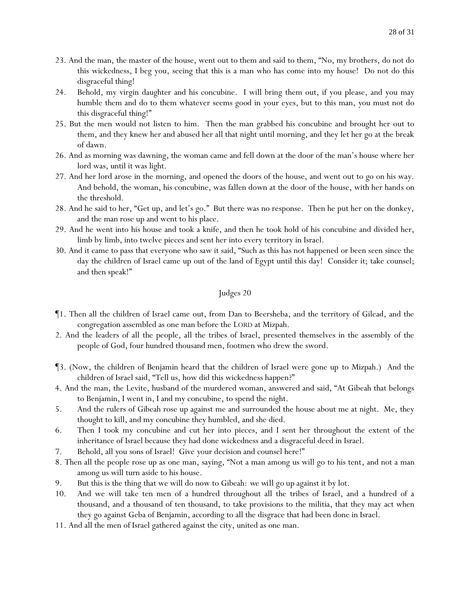- 23. And the man, the master of the house, went out to them and said to them, "No, my brothers, do not do this wickedness, I beg you, seeing that this is a man who has come into my house! Do not do this disgraceful thing!
- 24. Behold, my virgin daughter and his concubine. I will bring them out, if you please, and you may humble them and do to them whatever seems good in *y*our eyes, but to this man, *y*ou must not do this disgraceful thing!"
- 25. But the men would not listen to him. Then the man grabbed his concubine and brought her out to them, and they knew her and abused her all that night until morning, and they let her go at the break of dawn.
- 26. And as morning was dawning, the woman came and fell down at the door of the man's house where her lord was, until it was light.
- 27. And her lord arose in the morning, and opened the doors of the house, and went out to go on his way. And behold, the woman, his concubine, was fallen down at the door of the house, with her hands on the threshold.
- 28. And he said to her, "Get up, and let's go." But there was no response. Then he put her on the donkey, and the man rose up and went to his place.
- 29. And he went into his house and took a knife, and then he took hold of his concubine and divided her, limb by limb, into twelve pieces and sent her into every territory in Israel.
- 30. And it came to pass that everyone who saw it said, "Such as this has not happened or been seen since the day the children of Israel came up out of the land of Egypt until this day! Consider it; take counsel; and then speak!"

- ¶1. Then all the children of Israel came out, from Dan to Beersheba, and the territory of Gilead, and the congregation assembled as one man before the LORD at Mizpah.
- 2. And the leaders of all the people, all the tribes of Israel, presented themselves in the assembly of the people of God, four hundred thousand men, footmen who drew the sword.
- ¶3. (Now, the children of Benjamin heard that the children of Israel were gone up to Mizpah.) And the children of Israel said, "Tell us, how did this wickedness happen?"
- 4. And the man, the Levite, husband of the murdered woman, answered and said, "At Gibeah that belongs to Benjamin, I went in, I and my concubine, to spend the night.
- 5. And the rulers of Gibeah rose up against me and surrounded the house about me at night. Me, they thought to kill, and my concubine they humbled, and she died.
- 6. Then I took my concubine and cut her into pieces, and I sent her throughout the extent of the inheritance of Israel because they had done wickedness and a disgraceful deed in Israel.
- 7. Behold, all *y*ou sons of Israel! Give *y*our decision and counsel here!"
- 8. Then all the people rose up as one man, saying, "Not a man among us will go to his tent, and not a man among us will turn aside to his house.
- 9. But this is the thing that we will do now to Gibeah: *we will go up* against it by lot.
- 10. And we will take ten men of a hundred throughout all the tribes of Israel, and a hundred of a thousand, and a thousand of ten thousand, to take provisions to the militia, that they may act when they go against Geba of Benjamin, according to all the disgrace that had been done in Israel.
- 11. And all the men of Israel gathered against the city, united as one man.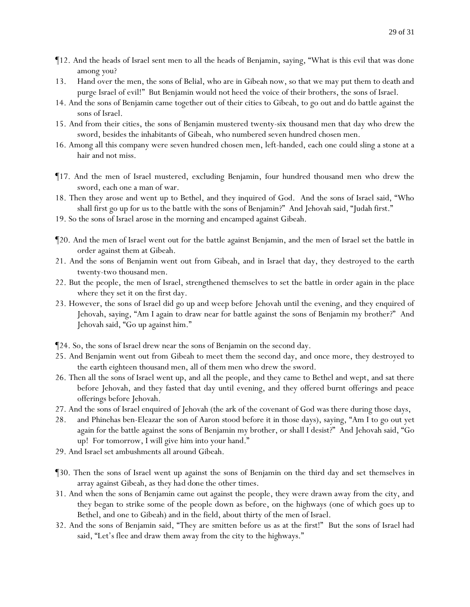- ¶12. And the heads of Israel sent men to all the heads of Benjamin, saying, "What is this evil that was done among *y*ou?
- 13. Hand over the men, the sons of Belial, who are in Gibeah now, so that we may put them to death and purge Israel of evil!" But Benjamin would not heed the voice of their brothers, the sons of Israel.
- 14. And the sons of Benjamin came together out of their cities to Gibeah, to go out and do battle against the sons of Israel.
- 15. And from their cities, the sons of Benjamin mustered twenty-six thousand men that day who drew the sword, besides the inhabitants of Gibeah, who numbered seven hundred chosen men.
- 16. Among all this company were seven hundred chosen men, left-handed, each one could sling a stone at a hair and not miss.
- ¶17. And the men of Israel mustered, excluding Benjamin, four hundred thousand men who drew the sword, each one a man of war.
- 18. Then they arose and went up to Bethel, and they inquired of God. And the sons of Israel said, "Who shall first go up for us to the battle with the sons of Benjamin?" And Jehovah said, "Judah first."
- 19. So the sons of Israel arose in the morning and encamped against Gibeah.
- ¶20. And the men of Israel went out for the battle against Benjamin, and the men of Israel set the battle in order against them at Gibeah.
- 21. And the sons of Benjamin went out from Gibeah, and in Israel that day, they destroyed to the earth twenty-two thousand men.
- 22. But the people, the men of Israel, strengthened themselves to set the battle in order again in the place where they set it on the first day.
- 23. However, the sons of Israel did go up and weep before Jehovah until the evening, and they enquired of Jehovah, saying, "Am I again to draw near for battle against the sons of Benjamin my brother?" And Jehovah said, "Go up against him."
- ¶24. So, the sons of Israel drew near the sons of Benjamin on the second day.
- 25. And Benjamin went out from Gibeah to meet them the second day, and once more, they destroyed to the earth eighteen thousand men, all of them men who drew the sword.
- 26. Then all the sons of Israel went up, and all the people, and they came to Bethel and wept, and sat there before Jehovah, and they fasted that day until evening, and they offered burnt offerings and peace offerings before Jehovah.
- 27. And the sons of Israel enquired of Jehovah (the ark of the covenant of God was there during those days,
- 28. and Phinehas ben-Eleazar the son of Aaron stood before it in those days), saying, "Am I to go out yet again for the battle against the sons of Benjamin my brother, or shall I desist?" And Jehovah said, "Go up! For tomorrow, I will give him into your hand."
- 29. And Israel set ambushments all around Gibeah.
- ¶30. Then the sons of Israel went up against the sons of Benjamin on the third day and set themselves in array against Gibeah, as *they had done* the other times.
- 31. And when the sons of Benjamin came out against the people, they were drawn away from the city, and they began to strike some of the people down as before, on the highways (one of which goes up to Bethel, and one to Gibeah) and in the field, about thirty of the men of Israel.
- 32. And the sons of Benjamin said, "They are smitten before us as at the first!" But the sons of Israel had said, "Let's flee and draw them away from the city to the highways."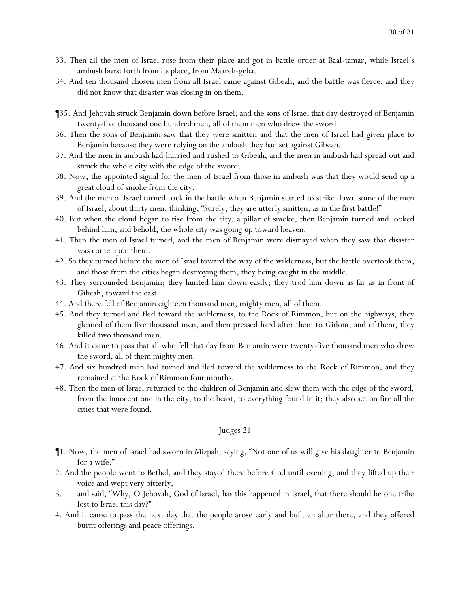- 33. Then all the men of Israel rose from their place and got in battle order at Baal-tamar, while Israel's ambush burst forth from its place, from Maareh-geba.
- 34. And ten thousand chosen men from all Israel came against Gibeah, and the battle was fierce, and they did not know that disaster was closing in on them.
- ¶35. And Jehovah struck Benjamin down before Israel, and the sons of Israel that day destroyed of Benjamin twenty-five thousand one hundred men, all of them men who drew the sword.
- 36. Then the sons of Benjamin saw that they were smitten and that the men of Israel had given place to Benjamin because they were relying on the ambush they had set against Gibeah.
- 37. And the men in ambush had hurried and rushed to Gibeah, and the men in ambush had spread out and struck the whole city with the edge of the sword.
- 38. Now, the appointed signal for the men of Israel from *those in* ambush was that they would send up a great cloud of smoke from the city.
- 39. And the men of Israel turned back in the battle when Benjamin started to strike down some of the men of Israel, about thirty men, thinking, "Surely, they are utterly smitten, as in the first battle!"
- 40. But when the cloud began to rise from the city, a pillar of smoke, then Benjamin turned and looked behind him, and behold, the whole city was going up toward heaven.
- 41. Then the men of Israel turned, and the men of Benjamin were dismayed when they saw that disaster was come upon them.
- 42. So they turned before the men of Israel toward the way of the wilderness, but the battle overtook them, and those from the cities began destroying them, they being *caught* in the middle.
- 43. They surrounded Benjamin; they hunted him down easily; they trod him down as far as in front of Gibeah, toward the east.
- 44. And there fell of Benjamin eighteen thousand men, mighty men, all of them.
- 45. And they turned and fled toward the wilderness, to the Rock of Rimmon, but on the highways, they gleaned of them five thousand men, and then pressed hard after them to Gidom, and of them, they killed two thousand men.
- 46. And it came to pass that all who fell that day from Benjamin were twenty-five thousand men who drew the sword, all of them mighty men.
- 47. And six hundred men had turned and fled toward the wilderness to the Rock of Rimmon, and they remained at the Rock of Rimmon four months.
- 48. Then the men of Israel returned to the children of Benjamin and slew them with the edge of the sword, from the innocent one in the city, to the beast, to everything found in it; they also set on fire all the cities that were found.

- ¶1. Now, the men of Israel had sworn in Mizpah, saying, "Not one of us will give his daughter to Benjamin for a wife."
- 2. And the people went to Bethel, and they stayed there before God until evening, and they lifted up their voice and wept very bitterly,
- 3. and said, "Why, O Jehovah, God of Israel, has this happened in Israel, that there should be one tribe lost to Israel this day?"
- 4. And it came to pass the next day that the people arose early and built an altar there, and they offered burnt offerings and peace offerings.